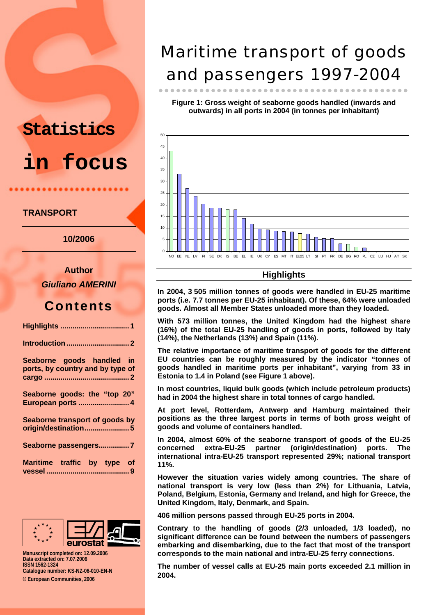# **Statistics in focus**

#### **TRANSPORT**

**10/2006** 

**Author**  *Giuliano AMERINI* 

### **Contents**

| Seaborne goods handled in<br>ports, by country and by type of |
|---------------------------------------------------------------|
| Seaborne goods: the "top 20"<br>European ports  4             |
| Seaborne transport of goods by<br>origin/destination5         |
| Seaborne passengers7                                          |
| Maritime traffic by type of                                   |



**Manuscript completed on: 12.09.2006 Data extracted on: 7.07.2006 ISSN 1562-1324 Catalogue number: KS-NZ-06-010-EN-N © European Communities, 2006** 

Maritime transport of goods and passengers 1997-2004

**Figure 1: Gross weight of seaborne goods handled (inwards and outwards) in all ports in 2004 (in tonnes per inhabitant)**

zzzzzzzzzzzzzzzzzzzzzzzzzzzzzzzzzzzzzzzzzzz



#### **Highlights**

**In 2004, 3 505 million tonnes of goods were handled in EU-25 maritime ports (i.e. 7.7 tonnes per EU-25 inhabitant). Of these, 64% were unloaded goods. Almost all Member States unloaded more than they loaded.** 

**With 573 million tonnes, the United Kingdom had the highest share (16%) of the total EU-25 handling of goods in ports, followed by Italy (14%), the Netherlands (13%) and Spain (11%).** 

**The relative importance of maritime transport of goods for the different EU countries can be roughly measured by the indicator "tonnes of goods handled in maritime ports per inhabitant", varying from 33 in Estonia to 1.4 in Poland (see Figure 1 above).** 

**In most countries, liquid bulk goods (which include petroleum products) had in 2004 the highest share in total tonnes of cargo handled.** 

**At port level, Rotterdam, Antwerp and Hamburg maintained their positions as the three largest ports in terms of both gross weight of goods and volume of containers handled.** 

**In 2004, almost 60% of the seaborne transport of goods of the EU-25 concerned extra-EU-25 partner (origin/destination) ports. The international intra-EU-25 transport represented 29%; national transport 11%.** 

**However the situation varies widely among countries. The share of national transport is very low (less than 2%) for Lithuania, Latvia, Poland, Belgium, Estonia, Germany and Ireland, and high for Greece, the United Kingdom, Italy, Denmark, and Spain.** 

**406 million persons passed through EU-25 ports in 2004.** 

**Contrary to the handling of goods (2/3 unloaded, 1/3 loaded), no significant difference can be found between the numbers of passengers embarking and disembarking, due to the fact that most of the transport corresponds to the main national and intra-EU-25 ferry connections.** 

**The number of vessel calls at EU-25 main ports exceeded 2.1 million in 2004.**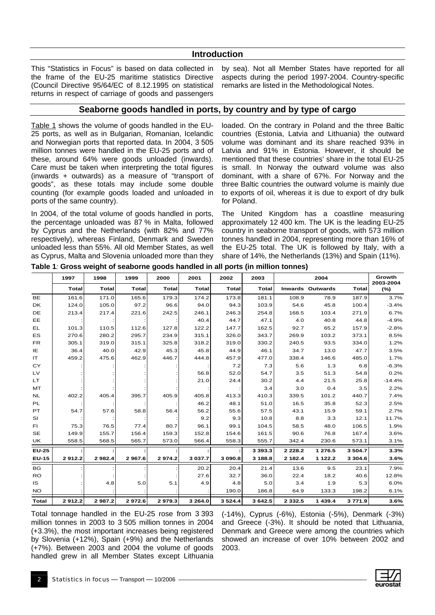#### **Introduction**

This "Statistics in Focus" is based on data collected in the frame of the EU-25 maritime statistics Directive (Council Directive 95/64/EC of 8.12.1995 on statistical returns in respect of carriage of goods and passengers

by sea). Not all Member States have reported for all aspects during the period 1997-2004. Country-specific remarks are listed in the Methodological Notes.

#### **Seaborne goods handled in ports, by country and by type of cargo**

Table 1 shows the volume of goods handled in the EU-25 ports, as well as in Bulgarian, Romanian, Icelandic and Norwegian ports that reported data. In 2004, 3 505 million tonnes were handled in the EU-25 ports and of these, around 64% were goods unloaded (inwards). Care must be taken when interpreting the total figures (inwards + outwards) as a measure of "transport of goods", as these totals may include some double counting (for example goods loaded and unloaded in ports of the same country).

In 2004, of the total volume of goods handled in ports, the percentage unloaded was 87 % in Malta, followed by Cyprus and the Netherlands (with 82% and 77% respectively), whereas Finland, Denmark and Sweden unloaded less than 55%. All old Member States, as well as Cyprus, Malta and Slovenia unloaded more than they

loaded. On the contrary in Poland and the three Baltic countries (Estonia, Latvia and Lithuania) the outward volume was dominant and its share reached 93% in Latvia and 91% in Estonia. However, it should be mentioned that these countries' share in the total EU-25 is small. In Norway the outward volume was also dominant, with a share of 67%. For Norway and the three Baltic countries the outward volume is mainly due to exports of oil, whereas it is due to export of dry bulk for Poland.

The United Kingdom has a coastline measuring approximately 12 400 km. The UK is the leading EU-25 country in seaborne transport of goods, with 573 million tonnes handled in 2004, representing more than 16% of the EU-25 total. The UK is followed by Italy, with a share of 14%, the Netherlands (13%) and Spain (11%).

|              | 1997         | 1998         | 1999         | 2000         | 2001         | 2002         | 2003         |             | 2004                    |              | Growth<br>2003-2004 |
|--------------|--------------|--------------|--------------|--------------|--------------|--------------|--------------|-------------|-------------------------|--------------|---------------------|
|              | <b>Total</b> | <b>Total</b> | <b>Total</b> | <b>Total</b> | <b>Total</b> | <b>Total</b> | <b>Total</b> |             | <b>Inwards Outwards</b> | <b>Total</b> | $(\%)$              |
| <b>BE</b>    | 161.6        | 171.0        | 165.6        | 179.3        | 174.2        | 173.8        | 181.1        | 108.9       | 78.9                    | 187.9        | 3.7%                |
| DK.          | 124.0        | 105.0        | 97.2         | 96.6         | 94.0         | 94.3         | 103.9        | 54.6        | 45.8                    | 100.4        | $-3.4%$             |
| DE           | 213.4        | 217.4        | 221.6        | 242.5        | 246.1        | 246.3        | 254.8        | 168.5       | 103.4                   | 271.9        | 6.7%                |
| EE           |              |              |              |              | 40.4         | 44.7         | 47.1         | 4.0         | 40.8                    | 44.8         | $-4.9%$             |
| EL           | 101.3        | 110.5        | 112.6        | 127.8        | 122.2        | 147.7        | 162.5        | 92.7        | 65.2                    | 157.9        | $-2.8%$             |
| ES           | 270.6        | 280.2        | 295.7        | 234.9        | 315.1        | 326.0        | 343.7        | 269.9       | 103.2                   | 373.1        | 8.5%                |
| <b>FR</b>    | 305.1        | 319.0        | 315.1        | 325.8        | 318.2        | 319.0        | 330.2        | 240.5       | 93.5                    | 334.0        | 1.2%                |
| IE           | 36.4         | 40.0         | 42.9         | 45.3         | 45.8         | 44.9         | 46.1         | 34.7        | 13.0                    | 47.7         | 3.5%                |
| IT.          | 459.2        | 475.6        | 462.9        | 446.7        | 444.8        | 457.9        | 477.0        | 338.4       | 146.6                   | 485.0        | 1.7%                |
| CY           |              |              |              |              |              | 7.2          | 7.3          | 5.6         | 1.3                     | 6.8          | $-6.3%$             |
| LV           |              |              |              |              | 56.8         | 52.0         | 54.7         | 3.5         | 51.3                    | 54.8         | 0.2%                |
| LT.          |              |              |              |              | 21.0         | 24.4         | 30.2         | 4.4         | 21.5                    | 25.8         | $-14.4%$            |
| MT           |              |              |              |              |              |              | 3.4          | 3.0         | 0.4                     | 3.5          | 2.2%                |
| NL           | 402.2        | 405.4        | 395.7        | 405.9        | 405.8        | 413.3        | 410.3        | 339.5       | 101.2                   | 440.7        | 7.4%                |
| PL           |              |              |              |              | 46.2         | 48.1         | 51.0         | 16.5        | 35.8                    | 52.3         | 2.5%                |
| PT           | 54.7         | 57.6         | 58.8         | 56.4         | 56.2         | 55.6         | 57.5         | 43.1        | 15.9                    | 59.1         | 2.7%                |
| SI           |              |              |              |              | 9.2          | 9.3          | 10.8         | 8.8         | 3.3                     | 12.1         | 11.7%               |
| FI.          | 75.3         | 76.5         | 77.4         | 80.7         | 96.1         | 99.1         | 104.5        | 58.5        | 48.0                    | 106.5        | 1.9%                |
| <b>SE</b>    | 149.9        | 155.7        | 156.4        | 159.3        | 152.8        | 154.6        | 161.5        | 90.6        | 76.8                    | 167.4        | 3.6%                |
| UK           | 558.5        | 568.5        | 565.7        | 573.0        | 566.4        | 558.3        | 555.7        | 342.4       | 230.6                   | 573.1        | 3.1%                |
| <b>EU-25</b> |              |              |              |              |              |              | 3 3 9 3 . 3  | 2 2 2 8 . 2 | 1 276.5                 | 3 504.7      | 3.3%                |
| <b>EU-15</b> | 2912.2       | 2982.4       | 2967.6       | 2974.2       | 3 037.7      | 3 090.8      | 3 188.8      | 2 182.4     | 1 1 2 2.2               | 3 3 0 4 .6   | 3.6%                |
| <b>BG</b>    |              |              |              |              | 20.2         | 20.4         | 21.4         | 13.6        | 9.5                     | 23.1         | 7.9%                |
| <b>RO</b>    |              |              |              |              | 27.6         | 32.7         | 36.0         | 22.4        | 18.2                    | 40.6         | 12.8%               |
| IS.          |              | 4.8          | 5.0          | 5.1          | 4.9          | 4.8          | 5.0          | 3.4         | 1.9                     | 5.3          | 6.0%                |
| <b>NO</b>    |              |              |              |              |              | 190.0        | 186.8        | 64.9        | 133.3                   | 198.2        | 6.1%                |
| <b>Total</b> | 2912.2       | 2987.2       | 2972.6       | 2979.3       | 3 264.0      | 3 5 24.4     | 3 642.5      | 2 3 3 2 . 5 | 1 439.4                 | 3771.9       | 3.6%                |

**Table 1***:* **Gross weight of seaborne goods handled in all ports (in million tonnes)**

Total tonnage handled in the EU-25 rose from 3 393 million tonnes in 2003 to 3 505 million tonnes in 2004 (+3.3%), the most important increases being registered by Slovenia (+12%), Spain (+9%) and the Netherlands (+7%). Between 2003 and 2004 the volume of goods handled grew in all Member States except Lithuania

(-14%), Cyprus (-6%), Estonia (-5%), Denmark (-3%) and Greece (-3%). It should be noted that Lithuania, Denmark and Greece were among the countries which showed an increase of over 10% between 2002 and 2003.

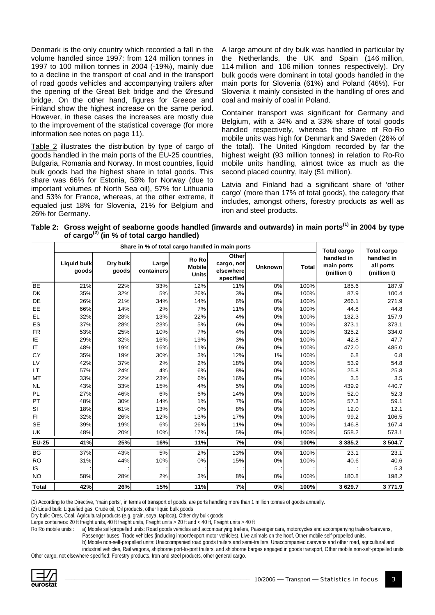Denmark is the only country which recorded a fall in the volume handled since 1997: from 124 million tonnes in 1997 to 100 million tonnes in 2004 (-19%), mainly due to a decline in the transport of coal and in the transport of road goods vehicles and accompanying trailers after the opening of the Great Belt bridge and the Øresund bridge. On the other hand, figures for Greece and Finland show the highest increase on the same period. However, in these cases the increases are mostly due to the improvement of the statistical coverage (for more information see notes on page 11).

Table 2 illustrates the distribution by type of cargo of goods handled in the main ports of the EU-25 countries, Bulgaria, Romania and Norway. In most countries, liquid bulk goods had the highest share in total goods. This share was 66% for Estonia, 58% for Norway (due to important volumes of North Sea oil), 57% for Lithuania and 53% for France, whereas, at the other extreme, it equaled just 18% for Slovenia, 21% for Belgium and 26% for Germany.

A large amount of dry bulk was handled in particular by the Netherlands, the UK and Spain (146 million, 114 million and 106 million tonnes respectively). Dry bulk goods were dominant in total goods handled in the main ports for Slovenia (61%) and Poland (46%). For Slovenia it mainly consisted in the handling of ores and coal and mainly of coal in Poland.

Container transport was significant for Germany and Belgium, with a 34% and a 33% share of total goods handled respectively, whereas the share of Ro-Ro mobile units was high for Denmark and Sweden (26% of the total). The United Kingdom recorded by far the highest weight (93 million tonnes) in relation to Ro-Ro mobile units handling, almost twice as much as the second placed country, Italy (51 million).

Latvia and Finland had a significant share of 'other cargo' (more than 17% of total goods), the category that includes, amongst others, forestry products as well as iron and steel products.

Table 2: Gross weight of seaborne goods handled (inwards and outwards) in main ports<sup>(1)</sup> in 2004 by type **of cargo(2) (in % of total cargo handled)** 

|              |                             |                   |                     | Share in % of total cargo handled in main ports |                                               | <b>Total cargo</b> | <b>Total cargo</b> |                                         |                                        |
|--------------|-----------------------------|-------------------|---------------------|-------------------------------------------------|-----------------------------------------------|--------------------|--------------------|-----------------------------------------|----------------------------------------|
|              | <b>Liquid bulk</b><br>goods | Dry bulk<br>goods | Large<br>containers | Ro Ro<br><b>Mobile</b><br><b>Units</b>          | Other<br>cargo, not<br>elsewhere<br>specified | <b>Unknown</b>     | <b>Total</b>       | handled in<br>main ports<br>(million t) | handled in<br>all ports<br>(million t) |
| <b>BE</b>    | 21%                         | 22%               | 33%                 | 12%                                             | 11%                                           | 0%                 | 100%               | 185.6                                   | 187.9                                  |
| <b>DK</b>    | 35%                         | 32%               | 5%                  | 26%                                             | 3%                                            | 0%                 | 100%               | 87.9                                    | 100.4                                  |
| DE           | 26%                         | 21%               | 34%                 | 14%                                             | 6%                                            | 0%                 | 100%               | 266.1                                   | 271.9                                  |
| EE           | 66%                         | 14%               | 2%                  | 7%                                              | 11%                                           | 0%                 | 100%               | 44.8                                    | 44.8                                   |
| EL           | 32%                         | 28%               | 13%                 | 22%                                             | 4%                                            | 0%                 | 100%               | 132.3                                   | 157.9                                  |
| ES           | 37%                         | 28%               | 23%                 | 5%                                              | 6%                                            | 0%                 | 100%               | 373.1                                   | 373.1                                  |
| <b>FR</b>    | 53%                         | 25%               | 10%                 | 7%                                              | 4%                                            | 0%                 | 100%               | 325.2                                   | 334.0                                  |
| IE           | 29%                         | 32%               | 16%                 | 19%                                             | 3%                                            | 0%                 | 100%               | 42.8                                    | 47.7                                   |
| IT           | 48%                         | 19%               | 16%                 | 11%                                             | 6%                                            | 0%                 | 100%               | 472.0                                   | 485.0                                  |
| CY           | 35%                         | 19%               | 30%                 | 3%                                              | 12%                                           | 1%                 | 100%               | 6.8                                     | 6.8                                    |
| LV           | 42%                         | 37%               | 2%                  | 2%                                              | 18%                                           | 0%                 | 100%               | 53.9                                    | 54.8                                   |
| <b>LT</b>    | 57%                         | 24%               | 4%                  | 6%                                              | 8%                                            | 0%                 | 100%               | 25.8                                    | 25.8                                   |
| MT           | 33%                         | 22%               | 23%                 | 6%                                              | 16%                                           | 0%                 | 100%               | 3.5                                     | 3.5                                    |
| <b>NL</b>    | 43%                         | 33%               | 15%                 | 4%                                              | 5%                                            | 0%                 | 100%               | 439.9                                   | 440.7                                  |
| <b>PL</b>    | 27%                         | 46%               | 6%                  | 6%                                              | 14%                                           | 0%                 | 100%               | 52.0                                    | 52.3                                   |
| PT           | 48%                         | 30%               | 14%                 | 1%                                              | 7%                                            | 0%                 | 100%               | 57.3                                    | 59.1                                   |
| SI           | 18%                         | 61%               | 13%                 | 0%                                              | 8%                                            | 0%                 | 100%               | 12.0                                    | 12.1                                   |
| FI           | 32%                         | 26%               | 12%                 | 13%                                             | 17%                                           | 0%                 | 100%               | 99.2                                    | 106.5                                  |
| <b>SE</b>    | 39%                         | 19%               | 6%                  | 26%                                             | 11%                                           | 0%                 | 100%               | 146.8                                   | 167.4                                  |
| UK           | 48%                         | 20%               | 10%                 | 17%                                             | 5%                                            | 0%                 | 100%               | 558.2                                   | 573.1                                  |
| <b>EU-25</b> | 41%                         | 25%               | 16%                 | 11%                                             | 7%                                            | 0%                 | 100%               | 3 3 8 5 . 2                             | 3 504.7                                |
| <b>BG</b>    | 37%                         | 43%               | 5%                  | 2%                                              | 13%                                           | 0%                 | 100%               | 23.1                                    | 23.1                                   |
| <b>RO</b>    | 31%                         | 44%               | 10%                 | 0%                                              | 15%                                           | 0%                 | 100%               | 40.6                                    | 40.6                                   |
| IS           |                             |                   |                     |                                                 |                                               |                    |                    |                                         | 5.3                                    |
| <b>NO</b>    | 58%                         | 28%               | 2%                  | 3%                                              | 8%                                            | 0%                 | 100%               | 180.8                                   | 198.2                                  |
| <b>Total</b> | 42%                         | 26%               | 15%                 | 11%                                             | 7%                                            | 0%                 | 100%               | 3629.7                                  | 3771.9                                 |

(1) According to the Directive, "main ports", in terms of transport of goods, are ports handling more than 1 million tonnes of goods annually.

(2) Liquid bulk: Liquefied gas, Crude oil, Oil products, other liquid bulk goods

Dry bulk: Ores, Coal, Agricultural products (e.g. grain, soya, tapioca), Other dry bulk goods

Large containers: 20 ft freight units, 40 ft freight units, Freight units > 20 ft and < 40 ft, Freight units > 40 ft

Ro Ro mobile units : a) Mobile self-propelled units: Road goods vehicles and accompanying trailers, Passenger cars, motorcycles and accompanying trailers/caravans,

Passenger buses, Trade vehicles (including import/export motor vehicles), Live animals on the hoof, Other mobile self-propelled units.

b) Mobile non-self-propelled units: Unaccompanied road goods trailers and semi-trailers, Unaccompanied caravans and other road, agricultural and

industrial vehicles, Rail wagons, shipborne port-to-port trailers, and shipborne barges engaged in goods transport, Other mobile non-self-propelled units Other cargo, not elsewhere specified: Forestry products, Iron and steel products, other general cargo.

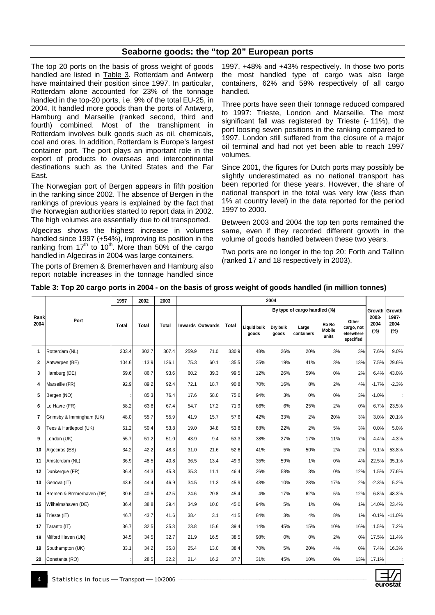#### **Seaborne goods: the "top 20" European ports**

The top 20 ports on the basis of gross weight of goods handled are listed in Table 3. Rotterdam and Antwerp have maintained their position since 1997. In particular, Rotterdam alone accounted for 23% of the tonnage handled in the top-20 ports, i.e. 9% of the total EU-25, in 2004. It handled more goods than the ports of Antwerp, Hamburg and Marseille (ranked second, third and fourth) combined. Most of the transhipment in Rotterdam involves bulk goods such as oil, chemicals, coal and ores. In addition, Rotterdam is Europe's largest container port. The port plays an important role in the export of products to overseas and intercontinental destinations such as the United States and the Far East.

The Norwegian port of Bergen appears in fifth position in the ranking since 2002. The absence of Bergen in the rankings of previous years is explained by the fact that the Norwegian authorities started to report data in 2002. The high volumes are essentially due to oil transported.

Algeciras shows the highest increase in volumes handled since 1997 (+54%), improving its position in the ranking from  $17<sup>th</sup>$  to  $10<sup>th</sup>$ . More than 50% of the cargo handled in Algeciras in 2004 was large containers.

The ports of Bremen & Bremerhaven and Hamburg also report notable increases in the tonnage handled since 1997, +48% and +43% respectively. In those two ports the most handled type of cargo was also large containers, 62% and 59% respectively of all cargo handled.

Three ports have seen their tonnage reduced compared to 1997: Trieste, London and Marseille. The most significant fall was registered by Trieste (-11%), the port loosing seven positions in the ranking compared to 1997. London still suffered from the closure of a major oil terminal and had not yet been able to reach 1997 volumes.

Since 2001, the figures for Dutch ports may possibly be slightly underestimated as no national transport has been reported for these years. However, the share of national transport in the total was very low (less than 1% at country level) in the data reported for the period 1997 to 2000.

Between 2003 and 2004 the top ten ports remained the same, even if they recorded different growth in the volume of goods handled between these two years.

Two ports are no longer in the top 20: Forth and Tallinn (ranked 17 and 18 respectively in 2003).

| Table 3: Top 20 cargo ports in 2004 - on the basis of gross weight of goods handled (in million tonnes) |  |
|---------------------------------------------------------------------------------------------------------|--|
|---------------------------------------------------------------------------------------------------------|--|

|              |                           | 1997         | 2002         | 2003         | 2004  |                                  |       |                             |                              |                     |                                 |                                               |                      |                      |  |
|--------------|---------------------------|--------------|--------------|--------------|-------|----------------------------------|-------|-----------------------------|------------------------------|---------------------|---------------------------------|-----------------------------------------------|----------------------|----------------------|--|
|              |                           |              |              |              |       |                                  |       |                             | By type of cargo handled (%) |                     |                                 | Growth                                        | Growth               |                      |  |
| Rank<br>2004 | Port                      | <b>Total</b> | <b>Total</b> | <b>Total</b> |       | <b>Inwards Outwards</b><br>Total |       | <b>Liauid bulk</b><br>goods | Dry bulk<br>goods            | Large<br>containers | Ro Ro<br><b>Mobile</b><br>units | Other<br>cargo, not<br>elsewhere<br>specified | 2003-<br>2004<br>(%) | 1997-<br>2004<br>(%) |  |
| 1            | Rotterdam (NL)            | 303.4        | 302.7        | 307.4        | 259.9 | 71.0                             | 330.9 | 48%                         | 26%                          | 20%                 | 3%                              | 3%                                            | 7.6%                 | 9.0%                 |  |
| $\mathbf{2}$ | Antwerpen (BE)            | 104.6        | 113.9        | 126.1        | 75.3  | 60.1                             | 135.5 | 25%                         | 19%                          | 41%                 | 3%                              | 13%                                           | 7.5%                 | 29.6%                |  |
| 3            | Hamburg (DE)              | 69.6         | 86.7         | 93.6         | 60.2  | 39.3                             | 99.5  | 12%                         | 26%                          | 59%                 | 0%                              | 2%                                            | 6.4%                 | 43.0%                |  |
| 4            | Marseille (FR)            | 92.9         | 89.2         | 92.4         | 72.1  | 18.7                             | 90.8  | 70%                         | 16%                          | 8%                  | 2%                              | 4%                                            | $-1.7%$              | $-2.3%$              |  |
| 5            | Bergen (NO)               |              | 85.3         | 76.4         | 17.6  | 58.0                             | 75.6  | 94%                         | 3%                           | 0%                  | 0%                              | 3%                                            | $-1.0%$              |                      |  |
| 6            | Le Havre (FR)             | 58.2         | 63.8         | 67.4         | 54.7  | 17.2                             | 71.9  | 66%                         | 6%                           | 25%                 | 2%                              | 0%                                            | 6.7%                 | 23.5%                |  |
| 7            | Grimsby & Immingham (UK)  | 48.0         | 55.7         | 55.9         | 41.9  | 15.7                             | 57.6  | 42%                         | 33%                          | 2%                  | 20%                             | 3%                                            | 3.0%                 | 20.1%                |  |
| 8            | Tees & Hartlepool (UK)    | 51.2         | 50.4         | 53.8         | 19.0  | 34.8                             | 53.8  | 68%                         | 22%                          | 2%                  | 5%                              | 3%                                            | 0.0%                 | 5.0%                 |  |
| 9            | London (UK)               | 55.7         | 51.2         | 51.0         | 43.9  | 9.4                              | 53.3  | 38%                         | 27%                          | 17%                 | 11%                             | 7%                                            | 4.4%                 | $-4.3%$              |  |
| 10           | Algeciras (ES)            | 34.2         | 42.2         | 48.3         | 31.0  | 21.6                             | 52.6  | 41%                         | 5%                           | 50%                 | 2%                              | 2%                                            | 9.1%                 | 53.8%                |  |
| 11           | Amsterdam (NL)            | 36.9         | 48.5         | 40.8         | 36.5  | 13.4                             | 49.9  | 35%                         | 59%                          | 1%                  | 0%                              | 4%                                            | 22.5%                | 35.1%                |  |
| $12 \,$      | Dunkerque (FR)            | 36.4         | 44.3         | 45.8         | 35.3  | 11.1                             | 46.4  | 26%                         | 58%                          | 3%                  | 0%                              | 12%                                           | 1.5%                 | 27.6%                |  |
| 13           | Genova (IT)               | 43.6         | 44.4         | 46.9         | 34.5  | 11.3                             | 45.9  | 43%                         | 10%                          | 28%                 | 17%                             | 2%                                            | $-2.3%$              | 5.2%                 |  |
| 14           | Bremen & Bremerhaven (DE) | 30.6         | 40.5         | 42.5         | 24.6  | 20.8                             | 45.4  | 4%                          | 17%                          | 62%                 | 5%                              | 12%                                           | 6.8%                 | 48.3%                |  |
| 15           | Wilhelmshaven (DE)        | 36.4         | 38.8         | 39.4         | 34.9  | 10.0                             | 45.0  | 94%                         | 5%                           | 1%                  | 0%                              | 1%                                            | 14.0%                | 23.4%                |  |
| 16           | Trieste (IT)              | 46.7         | 43.7         | 41.6         | 38.4  | 3.1                              | 41.5  | 84%                         | 3%                           | 4%                  | 8%                              | 1%                                            | $-0.1%$              | $-11.0%$             |  |
| 17           | Taranto (IT)              | 36.7         | 32.5         | 35.3         | 23.8  | 15.6                             | 39.4  | 14%                         | 45%                          | 15%                 | 10%                             | 16%                                           | 11.5%                | 7.2%                 |  |
| 18           | Milford Haven (UK)        | 34.5         | 34.5         | 32.7         | 21.9  | 16.5                             | 38.5  | 98%                         | 0%                           | 0%                  | 2%                              | 0%                                            | 17.5%                | 11.4%                |  |
| 19           | Southampton (UK)          | 33.1         | 34.2         | 35.8         | 25.4  | 13.0                             | 38.4  | 70%                         | 5%                           | 20%                 | 4%                              | 0%                                            | 7.4%                 | 16.3%                |  |
| 20           | Constanta (RO)            |              | 28.5         | 32.2         | 21.4  | 16.2                             | 37.7  | 31%                         | 45%                          | 10%                 | 0%                              | 13%                                           | 17.1%                |                      |  |

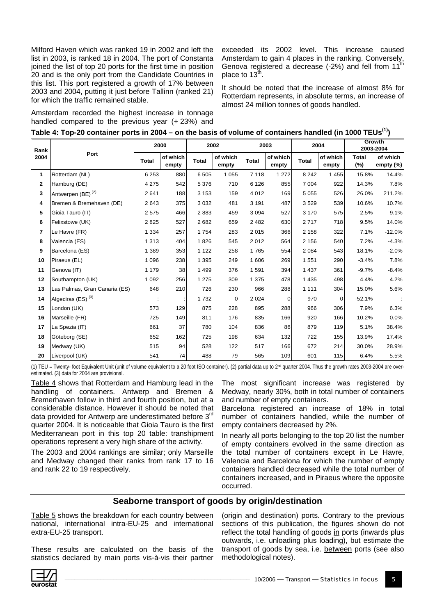Milford Haven which was ranked 19 in 2002 and left the list in 2003, is ranked 18 in 2004. The port of Constanta joined the list of top 20 ports for the first time in position 20 and is the only port from the Candidate Countries in this list. This port registered a growth of 17% between 2003 and 2004, putting it just before Tallinn (ranked 21) for which the traffic remained stable.

Amsterdam recorded the highest increase in tonnage handled compared to the previous year (+ 23%) and exceeded its 2002 level. This increase caused Amsterdam to gain 4 places in the ranking. Conversely, Genova registered a decrease (-2%) and fell from 11 place to  $13^{\text{th}}$ .

It should be noted that the increase of almost 8% for Rotterdam represents, in absolute terms, an increase of almost 24 million tonnes of goods handled.

| Rank         |                               |              | 2000              |              | 2002              |         | 2003              |         | 2004              | Growth<br>2003-2004 |                       |  |
|--------------|-------------------------------|--------------|-------------------|--------------|-------------------|---------|-------------------|---------|-------------------|---------------------|-----------------------|--|
| 2004         | Port                          | <b>Total</b> | of which<br>empty | <b>Total</b> | of which<br>empty | Total   | of which<br>empty | Total   | of which<br>empty | <b>Total</b><br>(%) | of which<br>empty (%) |  |
| 1.           | Rotterdam (NL)                | 6 2 5 3      | 880               | 6 5 0 5      | 1 0 5 5           | 7 1 1 8 | 1 2 7 2           | 8 2 4 2 | 1 4 5 5           | 15.8%               | 14.4%                 |  |
| $\mathbf{2}$ | Hamburg (DE)                  | 4 2 7 5      | 542               | 5 3 7 6      | 710               | 6 1 2 6 | 855               | 7 0 0 4 | 922               | 14.3%               | 7.8%                  |  |
| 3            | Antwerpen (BE) <sup>(2)</sup> | 2641         | 188               | 3 1 5 3      | 159               | 4 0 1 2 | 169               | 5 0 5 5 | 526               | 26.0%               | 211.2%                |  |
| 4            | Bremen & Bremehaven (DE)      | 2 6 4 3      | 375               | 3 0 3 2      | 481               | 3 1 9 1 | 487               | 3529    | 539               | 10.6%               | 10.7%                 |  |
| 5            | Gioia Tauro (IT)              | 2575         | 466               | 2883         | 459               | 3 0 9 4 | 527               | 3 1 7 0 | 575               | 2.5%                | 9.1%                  |  |
| 6            | Felixstowe (UK)               | 2 8 2 5      | 527               | 2682         | 659               | 2 4 8 2 | 630               | 2717    | 718               | 9.5%                | 14.0%                 |  |
| 7            | Le Havre (FR)                 | 1 3 3 4      | 257               | 1754         | 283               | 2015    | 366               | 2 1 5 8 | 322               | 7.1%                | $-12.0%$              |  |
| 8            | Valencia (ES)                 | 1 3 1 3      | 404               | 1826         | 545               | 2012    | 564               | 2 1 5 6 | 540               | 7.2%                | $-4.3%$               |  |
| 9            | Barcelona (ES)                | 1 3 8 9      | 353               | 1 1 2 2      | 258               | 1765    | 554               | 2 0 8 4 | 543               | 18.1%               | $-2.0%$               |  |
| 10           | Piraeus (EL)                  | 1 0 9 6      | 238               | 1 3 9 5      | 249               | 1 606   | 269               | 1 551   | 290               | $-3.4%$             | 7.8%                  |  |
| 11           | Genova (IT)                   | 1 1 7 9      | 38                | 1 4 9 9      | 376               | 1 5 9 1 | 394               | 1 4 3 7 | 361               | $-9.7%$             | $-8.4%$               |  |
| 12           | Southampton (UK)              | 1 0 9 2      | 256               | 1 2 7 5      | 309               | 1 3 7 5 | 478               | 1 4 3 5 | 498               | 4.4%                | 4.2%                  |  |
| 13           | Las Palmas, Gran Canaria (ES) | 648          | 210               | 726          | 230               | 966     | 288               | 1 1 1 1 | 304               | 15.0%               | 5.6%                  |  |
| 14           | Algeciras (ES) <sup>(3)</sup> |              |                   | 1732         | 0                 | 2 0 2 4 | $\mathbf 0$       | 970     | $\mathbf 0$       | $-52.1%$            |                       |  |
| 15           | London (UK)                   | 573          | 129               | 875          | 228               | 895     | 288               | 966     | 306               | 7.9%                | 6.3%                  |  |
| 16           | Marseille (FR)                | 725          | 149               | 811          | 176               | 835     | 166               | 920     | 166               | 10.2%               | 0.0%                  |  |
| 17           | La Spezia (IT)                | 661          | 37                | 780          | 104               | 836     | 86                | 879     | 119               | 5.1%                | 38.4%                 |  |
| 18           | Göteborg (SE)                 | 652          | 162               | 725          | 198               | 634     | 132               | 722     | 155               | 13.9%               | 17.4%                 |  |
| 19           | Medway (UK)                   | 515          | 94                | 528          | 122               | 517     | 166               | 672     | 214               | 30.0%               | 28.9%                 |  |
| 20           | Liverpool (UK)                | 541          | 74                | 488          | 79                | 565     | 109               | 601     | 115               | 6.4%                | 5.5%                  |  |

(1) TEU = Twenty- foot Equivalent Unit (unit of volume equivalent to a 20 foot ISO container). (2) partial data up to 2nd quarter 2004. Thus the growth rates 2003-2004 are overestimated. (3) data for 2004 are provisional.

Table 4 shows that Rotterdam and Hamburg lead in the handling of containers. Antwerp and Bremen & Bremerhaven follow in third and fourth position, but at a considerable distance. However it should be noted that data provided for Antwerp are underestimated before 3<sup>rd</sup> quarter 2004. It is noticeable that Gioia Tauro is the first Mediterranean port in this top 20 table: transhipment operations represent a very high share of the activity.

The 2003 and 2004 rankings are similar; only Marseille and Medway changed their ranks from rank 17 to 16 and rank 22 to 19 respectively.

The most significant increase was registered by Medway, nearly 30%, both in total number of containers and number of empty containers.

Barcelona registered an increase of 18% in total number of containers handled, while the number of empty containers decreased by 2%.

In nearly all ports belonging to the top 20 list the number of empty containers evolved in the same direction as the total number of containers except in Le Havre, Valencia and Barcelona for which the number of empty containers handled decreased while the total number of containers increased, and in Piraeus where the opposite occurred.

#### **Seaborne transport of goods by origin/destination**

Table 5 shows the breakdown for each country between national, international intra-EU-25 and international extra-EU-25 transport.

These results are calculated on the basis of the statistics declared by main ports vis-à-vis their partner

(origin and destination) ports. Contrary to the previous sections of this publication, the figures shown do not reflect the total handling of goods in ports (inwards plus outwards, i.e. unloading plus loading), but estimate the transport of goods by sea, i.e. between ports (see also methodological notes).

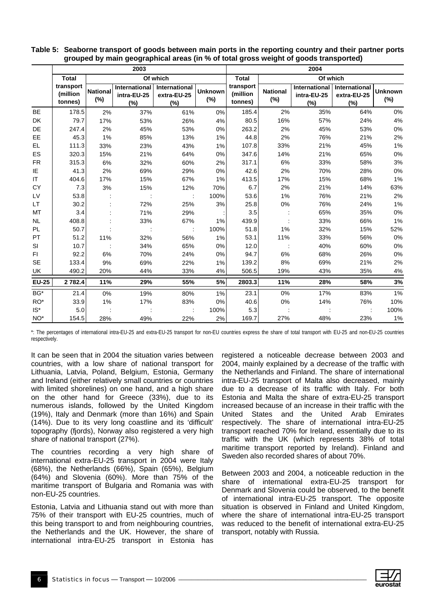|                 |                                  |                           | 2003                  |                                                     |                          | 2004                             |                        |                                               |                                        |                          |  |  |  |
|-----------------|----------------------------------|---------------------------|-----------------------|-----------------------------------------------------|--------------------------|----------------------------------|------------------------|-----------------------------------------------|----------------------------------------|--------------------------|--|--|--|
|                 | <b>Total</b>                     |                           |                       | Of which                                            |                          | <b>Total</b>                     |                        | Of which                                      |                                        |                          |  |  |  |
|                 | transport<br>(million<br>tonnes) | <b>National</b><br>$(\%)$ | intra-EU-25<br>$(\%)$ | International   International<br>extra-EU-25<br>(%) | <b>Unknown</b><br>$(\%)$ | transport<br>(million<br>tonnes) | <b>National</b><br>(%) | <b>International</b><br>intra-EU-25<br>$(\%)$ | International<br>extra-EU-25<br>$(\%)$ | <b>Unknown</b><br>$(\%)$ |  |  |  |
| <b>BE</b>       | 178.5                            | 2%                        | 37%                   | 61%                                                 | 0%                       | 185.4                            | 2%                     | 35%                                           | 64%                                    | 0%                       |  |  |  |
| DK              | 79.7                             | 17%                       | 53%                   | 26%                                                 | 4%                       | 80.5                             | 16%                    | 57%                                           | 24%                                    | 4%                       |  |  |  |
| DE              | 247.4                            | 2%                        | 45%                   | 53%                                                 | 0%                       | 263.2                            | 2%                     | 45%                                           | 53%                                    | $0\%$                    |  |  |  |
| <b>EE</b>       | 45.3                             | 1%                        | 85%                   | 13%                                                 | 1%                       | 44.8                             | 2%                     | 76%                                           | 21%                                    | 2%                       |  |  |  |
| EL.             | 111.3                            | 33%                       | 23%                   | 43%                                                 | 1%                       | 107.8                            | 33%                    | 21%                                           | 45%                                    | 1%                       |  |  |  |
| ES              | 320.3                            | 15%                       | 21%                   | 64%                                                 | 0%                       | 347.6                            | 14%                    | 21%                                           | 65%                                    | $0\%$                    |  |  |  |
| <b>FR</b>       | 315.3                            | 6%                        | 32%                   | 60%                                                 | 2%                       | 317.1                            | 6%                     | 33%                                           | 58%                                    | 3%                       |  |  |  |
| ΙE              | 41.3                             | 2%                        | 69%                   | 29%                                                 | $0\%$                    | 42.6                             | 2%                     | 70%                                           | 28%                                    | $0\%$                    |  |  |  |
| IT              | 404.6                            | 17%                       | 15%                   | 67%                                                 | 1%                       | 413.5                            | 17%                    | 15%                                           | 68%                                    | 1%                       |  |  |  |
| <b>CY</b>       | 7.3                              | 3%                        | 15%                   | 12%                                                 | 70%                      | 6.7                              | 2%                     | 21%                                           | 14%                                    | 63%                      |  |  |  |
| LV              | 53.8                             |                           | ÷                     | $\mathcal{I}$                                       | 100%                     | 53.6                             | 1%                     | 76%                                           | 21%                                    | 2%                       |  |  |  |
| LT              | 30.2                             |                           | 72%                   | 25%                                                 | 3%                       | 25.8                             | 0%                     | 76%                                           | 24%                                    | 1%                       |  |  |  |
| MT              | 3.4                              |                           | 71%                   | 29%                                                 |                          | 3.5                              |                        | 65%                                           | 35%                                    | $0\%$                    |  |  |  |
| <b>NL</b>       | 408.8                            |                           | 33%                   | 67%                                                 | 1%                       | 439.9                            |                        | 33%                                           | 66%                                    | 1%                       |  |  |  |
| <b>PL</b>       | 50.7                             |                           |                       | $\cdot$ :                                           | 100%                     | 51.8                             | 1%                     | 32%                                           | 15%                                    | 52%                      |  |  |  |
| PT              | 51.2                             | 11%                       | 32%                   | 56%                                                 | 1%                       | 53.1                             | 11%                    | 33%                                           | 56%                                    | $0\%$                    |  |  |  |
| SI              | 10.7                             |                           | 34%                   | 65%                                                 | 0%                       | 12.0                             |                        | 40%                                           | 60%                                    | $0\%$                    |  |  |  |
| FI.             | 92.2                             | 6%                        | 70%                   | 24%                                                 | 0%                       | 94.7                             | 6%                     | 68%                                           | 26%                                    | $0\%$                    |  |  |  |
| <b>SE</b>       | 133.4                            | 9%                        | 69%                   | 22%                                                 | 1%                       | 139.2                            | 8%                     | 69%                                           | 21%                                    | 2%                       |  |  |  |
| UK              | 490.2                            | 20%                       | 44%                   | 33%                                                 | 4%                       | 506.5                            | 19%                    | 43%                                           | 35%                                    | $4\%$                    |  |  |  |
| <b>EU-25</b>    | 2 7 8 2.4                        | 11%                       | 29%                   | 55%                                                 | 5%                       | 2803.3                           | 11%                    | 28%                                           | 58%                                    | 3%                       |  |  |  |
| BG*             | 21.4                             | 0%                        | 19%                   | 80%                                                 | 1%                       | 23.1                             | 0%                     | 17%                                           | 83%                                    | 1%                       |  |  |  |
| RO*             | 33.9                             | 1%                        | 17%                   | 83%                                                 | 0%                       | 40.6                             | $0\%$                  | 14%                                           | 76%                                    | 10%                      |  |  |  |
| $IS^*$          | 5.0                              |                           |                       |                                                     | 100%                     | 5.3                              |                        |                                               |                                        | 100%                     |  |  |  |
| NO <sup>*</sup> | 154.5                            | 28%                       | 49%                   | 22%                                                 | 2%                       | 169.7                            | 27%                    | 48%                                           | 23%                                    | 1%                       |  |  |  |

**Table 5: Seaborne transport of goods between main ports in the reporting country and their partner ports grouped by main geographical areas (in % of total gross weight of goods transported)** 

\*: The percentages of international intra-EU-25 and extra-EU-25 transport for non-EU countries express the share of total transport with EU-25 and non-EU-25 countries respectively.

It can be seen that in 2004 the situation varies between countries, with a low share of national transport for Lithuania, Latvia, Poland, Belgium, Estonia, Germany and Ireland (either relatively small countries or countries with limited shorelines) on one hand, and a high share on the other hand for Greece (33%), due to its numerous islands, followed by the United Kingdom (19%), Italy and Denmark (more than 16%) and Spain (14%). Due to its very long coastline and its 'difficult' topography (fjords), Norway also registered a very high share of national transport (27%).

The countries recording a very high share of international extra-EU-25 transport in 2004 were Italy (68%), the Netherlands (66%), Spain (65%), Belgium (64%) and Slovenia (60%). More than 75% of the maritime transport of Bulgaria and Romania was with non-EU-25 countries.

Estonia, Latvia and Lithuania stand out with more than 75% of their transport with EU-25 countries, much of this being transport to and from neighbouring countries, the Netherlands and the UK. However, the share of international intra-EU-25 transport in Estonia has

registered a noticeable decrease between 2003 and 2004, mainly explained by a decrease of the traffic with the Netherlands and Finland. The share of international intra-EU-25 transport of Malta also decreased, mainly due to a decrease of its traffic with Italy. For both Estonia and Malta the share of extra-EU-25 transport increased because of an increase in their traffic with the United States and the United Arab Emirates respectively. The share of international intra-EU-25 transport reached 70% for Ireland, essentially due to its traffic with the UK (which represents 38% of total maritime transport reported by Ireland). Finland and Sweden also recorded shares of about 70%.

Between 2003 and 2004, a noticeable reduction in the share of international extra-EU-25 transport for Denmark and Slovenia could be observed, to the benefit of international intra-EU-25 transport. The opposite situation is observed in Finland and United Kingdom, where the share of international intra-EU-25 transport was reduced to the benefit of international extra-EU-25 transport, notably with Russia.

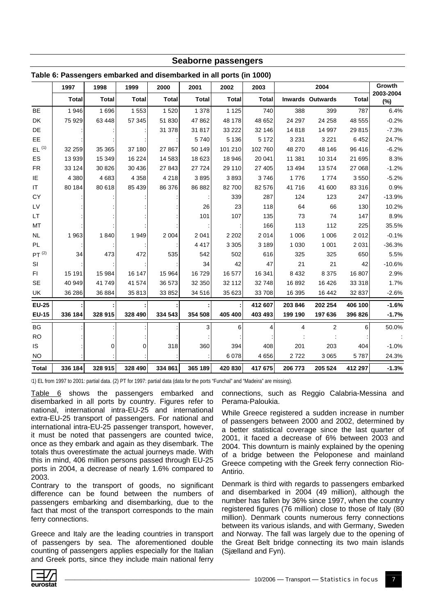| Seaborne passengers |                                                                     |              |              |              |              |              |              |         |                         |              |                  |  |  |
|---------------------|---------------------------------------------------------------------|--------------|--------------|--------------|--------------|--------------|--------------|---------|-------------------------|--------------|------------------|--|--|
|                     | Table 6: Passengers embarked and disembarked in all ports (in 1000) |              |              |              |              |              |              |         |                         |              |                  |  |  |
|                     | 1997                                                                | 1998         | 1999         | 2000         | 2001         | 2002         | 2003         |         | 2004                    |              | Growth           |  |  |
|                     | <b>Total</b>                                                        | <b>Total</b> | <b>Total</b> | <b>Total</b> | <b>Total</b> | <b>Total</b> | <b>Total</b> |         | <b>Inwards Outwards</b> | <b>Total</b> | 2003-2004<br>(%) |  |  |
| <b>BE</b>           | 1946                                                                | 1696         | 1 5 5 3      | 1520         | 1 378        | 1 1 2 5      | 740          | 388     | 399                     | 787          | 6.4%             |  |  |
| DK                  | 75 929                                                              | 63 448       | 57 345       | 51 830       | 47 862       | 48 178       | 48 652       | 24 297  | 24 258                  | 48 555       | $-0.2%$          |  |  |
| DE                  |                                                                     |              |              | 31 378       | 31 817       | 33 222       | 32 146       | 14 8 18 | 14 997                  | 29 815       | $-7.3%$          |  |  |
| EE                  |                                                                     |              |              |              | 5740         | 5 1 3 6      | 5 1 7 2      | 3 2 3 1 | 3 2 2 1                 | 6 4 5 2      | 24.7%            |  |  |
| EL <sup>(1)</sup>   | 32 259                                                              | 35 365       | 37 180       | 27 867       | 50 149       | 101 210      | 102 760      | 48 270  | 48 146                  | 96 416       | $-6.2%$          |  |  |
| ES                  | 13 939                                                              | 15 349       | 16 224       | 14 583       | 18 623       | 18 946       | 20 041       | 11 381  | 10 314                  | 21 695       | 8.3%             |  |  |
| ${\sf FR}$          | 33 124                                                              | 30 826       | 30 436       | 27 843       | 27 7 24      | 29 110       | 27 405       | 13 4 94 | 13574                   | 27 068       | $-1.2%$          |  |  |
| IE                  | 4 3 8 0                                                             | 4 6 8 3      | 4 3 5 8      | 4 2 1 8      | 3895         | 3893         | 3746         | 1776    | 1774                    | 3550         | $-5.2%$          |  |  |
| IT                  | 80 184                                                              | 80 618       | 85 439       | 86 376       | 86 882       | 82700        | 82 576       | 41716   | 41 600                  | 83 316       | 0.9%             |  |  |
| CY                  |                                                                     |              |              |              |              | 339          | 287          | 124     | 123                     | 247          | $-13.9%$         |  |  |
| LV                  |                                                                     |              |              |              | 26           | 23           | 118          | 64      | 66                      | 130          | 10.2%            |  |  |
| LT.                 |                                                                     |              |              |              | 101          | 107          | 135          | 73      | 74                      | 147          | 8.9%             |  |  |
| MT                  |                                                                     |              |              |              |              |              | 166          | 113     | 112                     | 225          | 35.5%            |  |  |
| $\sf NL$            | 1963                                                                | 1840         | 1949         | 2 0 0 4      | 2 0 4 1      | 2 2 0 2      | 2014         | 1 0 0 6 | 1 0 0 6                 | 2012         | $-0.1%$          |  |  |
| PL.                 |                                                                     |              |              |              | 4 4 1 7      | 3 3 0 5      | 3 1 8 9      | 1 0 3 0 | 1 0 0 1                 | 2 0 3 1      | $-36.3%$         |  |  |
| $PT$ $^{(2)}$       | 34                                                                  | 473          | 472          | 535          | 542          | 502          | 616          | 325     | 325                     | 650          | 5.5%             |  |  |
| <b>SI</b>           |                                                                     |              |              |              | 34           | 42           | 47           | 21      | 21                      | 42           | $-10.6%$         |  |  |
| F1                  | 15 191                                                              | 15 984       | 16 147       | 15 964       | 16729        | 16 577       | 16 341       | 8 4 3 2 | 8 3 7 5                 | 16 807       | 2.9%             |  |  |
| <b>SE</b>           | 40 949                                                              | 41 749       | 41 574       | 36 573       | 32 350       | 32 112       | 32 748       | 16 892  | 16 4 26                 | 33 318       | 1.7%             |  |  |
| UK                  | 36 286                                                              | 36 884       | 35 813       | 33 852       | 34 516       | 35 623       | 33 708       | 16 395  | 16 442                  | 32 837       | $-2.6%$          |  |  |
| <b>EU-25</b>        |                                                                     |              |              |              |              |              | 412 607      | 203 846 | 202 254                 | 406 100      | $-1.6%$          |  |  |
| <b>EU-15</b>        | 336 184                                                             | 328 915      | 328 490      | 334 543      | 354 508      | 405 400      | 403 493      | 199 190 | 197 636                 | 396 826      | $-1.7%$          |  |  |
| BG                  |                                                                     |              |              |              | 3            | 6            | 4            | 4       | $\overline{2}$          | 6            | 50.0%            |  |  |
| <b>RO</b>           |                                                                     |              |              |              |              |              |              |         |                         |              |                  |  |  |
| IS                  |                                                                     | 0            | 0            | 318          | 360          | 394          | 408          | 201     | 203                     | 404          | $-1.0%$          |  |  |
| <b>NO</b>           |                                                                     |              |              |              |              | 6 0 78       | 4 6 5 6      | 2722    | 3 0 6 5                 | 5787         | 24.3%            |  |  |
| <b>Total</b>        | 336 184                                                             | 328 915      | 328 490      | 334 861      | 365 189      | 420 830      | 417 675      | 206 773 | 205 524                 | 412 297      | $-1.3%$          |  |  |

( 1) EL from 1997 to 2001: partial data. (2) PT for 1997: partial data (data for the ports "Funchal" and "Madeira" are missing).

Table 6 shows the passengers embarked and disembarked in all ports by country. Figures refer to national, international intra-EU-25 and international extra-EU-25 transport of passengers. For national and international intra-EU-25 passenger transport, however, it must be noted that passengers are counted twice, once as they embark and again as they disembark. The totals thus overestimate the actual journeys made. With this in mind, 406 million persons passed through EU-25 ports in 2004, a decrease of nearly 1.6% compared to 2003.

Contrary to the transport of goods, no significant difference can be found between the numbers of passengers embarking and disembarking, due to the fact that most of the transport corresponds to the main ferry connections.

Greece and Italy are the leading countries in transport of passengers by sea. The aforementioned double counting of passengers applies especially for the Italian and Greek ports, since they include main national ferry connections, such as Reggio Calabria-Messina and Perama-Paloukia.

While Greece registered a sudden increase in number of passengers between 2000 and 2002, determined by a better statistical coverage since the last quarter of 2001, it faced a decrease of 6% between 2003 and 2004. This downturn is mainly explained by the opening of a bridge between the Peloponese and mainland Greece competing with the Greek ferry connection Rio-Antirio.

Denmark is third with regards to passengers embarked and disembarked in 2004 (49 million), although the number has fallen by 36% since 1997, when the country registered figures (76 million) close to those of Italy (80 million). Denmark counts numerous ferry connections between its various islands, and with Germany, Sweden and Norway. The fall was largely due to the opening of the Great Belt bridge connecting its two main islands (Sjælland and Fyn).

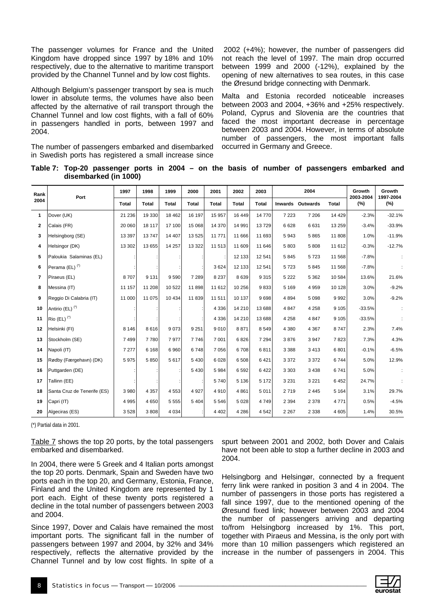The passenger volumes for France and the United Kingdom have dropped since 1997 by 18% and 10% respectively, due to the alternative to maritime transport provided by the Channel Tunnel and by low cost flights.

Although Belgium's passenger transport by sea is much lower in absolute terms, the volumes have also been affected by the alternative of rail transport through the Channel Tunnel and low cost flights, with a fall of 60% in passengers handled in ports, between 1997 and 2004.

The number of passengers embarked and disembarked in Swedish ports has registered a small increase since

 2002 (+4%); however, the number of passengers did not reach the level of 1997. The main drop occurred between 1999 and 2000 (-12%), explained by the opening of new alternatives to sea routes, in this case the Øresund bridge connecting with Denmark.

Malta and Estonia recorded noticeable increases between 2003 and 2004, +36% and +25% respectively. Poland, Cyprus and Slovenia are the countries that faced the most important decrease in percentage between 2003 and 2004. However, in terms of absolute number of passengers, the most important falls occurred in Germany and Greece.

**Table 7: Top-20 passenger ports in 2004 – on the basis of number of passengers embarked and disembarked (in 1000)** 

| Rank         | Port                        | 1997         | 1998         | 1999         | 2000         | 2001    | 2002         | 2003         |         | 2004                    |              | Growth<br>2003-2004 | Growth<br>1997-2004 |
|--------------|-----------------------------|--------------|--------------|--------------|--------------|---------|--------------|--------------|---------|-------------------------|--------------|---------------------|---------------------|
| 2004         |                             | <b>Total</b> | <b>Total</b> | <b>Total</b> | <b>Total</b> | Total   | <b>Total</b> | <b>Total</b> |         | <b>Inwards Outwards</b> | <b>Total</b> | (%)                 | (%)                 |
| 1            | Dover (UK)                  | 21 236       | 19 330       | 18 4 62      | 16 197       | 15 957  | 16 449       | 14770        | 7 2 2 3 | 7 2 0 6                 | 14 4 29      | $-2.3%$             | $-32.1%$            |
| $\mathbf{2}$ | Calais (FR)                 | 20 060       | 18 117       | 17 100       | 15 0 68      | 14 370  | 14 991       | 13729        | 6628    | 6631                    | 13 259       | $-3.4%$             | $-33.9%$            |
| 3            | Helsingborg (SE)            | 13 3 9 7     | 13747        | 14 407       | 13 5 25      | 11 771  | 11 666       | 11 693       | 5943    | 5865                    | 11 808       | 1.0%                | $-11.9%$            |
| 4            | Helsingor (DK)              | 13 302       | 13 655       | 14 257       | 13 3 22      | 11 513  | 11 609       | 11 646       | 5803    | 5 8 0 8                 | 11 612       | $-0.3%$             | $-12.7%$            |
| 5            | Paloukia Salaminas (EL)     |              |              |              |              |         | 12 133       | 12 541       | 5845    | 5723                    | 11 568       | $-7.8%$             |                     |
| 6            | Perama (EL) <sup>(*)</sup>  |              |              |              |              | 3624    | 12 133       | 12 5 41      | 5723    | 5845                    | 11 568       | $-7.8%$             |                     |
| 7            | Piraeus (EL)                | 8707         | 9 1 3 1      | 9 5 9 0      | 7 2 8 9      | 8 2 3 7 | 8639         | 9315         | 5 2 2 2 | 5 3 6 2                 | 10 584       | 13.6%               | 21.6%               |
| 8            | Messina (IT)                | 11 157       | 11 208       | 10 522       | 11898        | 11 612  | 10 256       | 9833         | 5 1 6 9 | 4 9 5 9                 | 10 128       | 3.0%                | $-9.2%$             |
| 9            | Reggio Di Calabria (IT)     | 11 000       | 11 075       | 10 4 34      | 11839        | 11 511  | 10 137       | 9698         | 4894    | 5 0 9 8                 | 9992         | 3.0%                | $-9.2%$             |
| 10           | Antirio (EL) <sup>(*)</sup> |              |              |              |              | 4 3 3 6 | 14 210       | 13 688       | 4 8 4 7 | 4 2 5 8                 | 9 1 0 5      | $-33.5%$            |                     |
| 11           | $Rio$ (EL) <sup>(*)</sup>   |              |              |              |              | 4 3 3 6 | 14 210       | 13 688       | 4 2 5 8 | 4 8 4 7                 | 9 1 0 5      | $-33.5%$            |                     |
| 12           | Helsinki (FI)               | 8 1 4 6      | 8616         | 9073         | 9 2 5 1      | 9010    | 8871         | 8549         | 4 3 8 0 | 4 3 6 7                 | 8747         | 2.3%                | 7.4%                |
| 13           | Stockholm (SE)              | 7499         | 7780         | 7977         | 7746         | 7 0 0 1 | 6826         | 7 2 9 4      | 3876    | 3 9 4 7                 | 7823         | 7.3%                | 4.3%                |
| 14           | Napoli (IT)                 | 7 2 7 7      | 6 1 6 8      | 6960         | 6748         | 7056    | 6708         | 6811         | 3 3 8 8 | 3413                    | 6801         | $-0.1%$             | $-6.5%$             |
| 15           | Rødby (Færgehavn) (DK)      | 5 9 7 5      | 5850         | 5 6 1 7      | 5 4 3 0      | 6 0 28  | 6 5 0 8      | 6421         | 3 3 7 2 | 3 3 7 2                 | 6744         | 5.0%                | 12.9%               |
| 16           | Puttgarden (DE)             |              |              |              | 5 4 3 0      | 5984    | 6592         | 6422         | 3 3 0 3 | 3 4 3 8                 | 6741         | 5.0%                |                     |
| 17           | Tallinn (EE)                |              |              |              |              | 5740    | 5 1 3 6      | 5 1 7 2      | 3 2 3 1 | 3 2 2 1                 | 6452         | 24.7%               |                     |
| 18           | Santa Cruz de Tenerife (ES) | 3 980        | 4 3 5 7      | 4 5 5 3      | 4 9 2 7      | 4910    | 4861         | 5 0 1 1      | 2719    | 2 4 4 5                 | 5 1 6 4      | 3.1%                | 29.7%               |
| 19           | Capri (IT)                  | 4 9 9 5      | 4650         | 5 5 5 5      | 5 4 0 4      | 5546    | 5 0 28       | 4749         | 2 3 9 4 | 2 3 7 8                 | 4 7 7 1      | 0.5%                | $-4.5%$             |
| 20           | Algeciras (ES)              | 3528         | 3808         | 4 0 34       |              | 4 4 0 2 | 4 2 8 6      | 4542         | 2 2 6 7 | 2 3 3 8                 | 4 6 0 5      | 1.4%                | 30.5%               |

(\*) Partial data in 2001.

Table 7 shows the top 20 ports, by the total passengers embarked and disembarked.

In 2004, there were 5 Greek and 4 Italian ports amongst the top 20 ports. Denmark, Spain and Sweden have two ports each in the top 20, and Germany, Estonia, France, Finland and the United Kingdom are represented by 1 port each. Eight of these twenty ports registered a decline in the total number of passengers between 2003 and 2004.

Since 1997, Dover and Calais have remained the most important ports. The significant fall in the number of passengers between 1997 and 2004, by 32% and 34% respectively, reflects the alternative provided by the Channel Tunnel and by low cost flights. In spite of a spurt between 2001 and 2002, both Dover and Calais have not been able to stop a further decline in 2003 and 2004.

Helsingborg and Helsingør, connected by a frequent ferry link were ranked in position 3 and 4 in 2004. The number of passengers in those ports has registered a fall since 1997, due to the mentioned opening of the Øresund fixed link; however between 2003 and 2004 the number of passengers arriving and departing to/from Helsingborg increased by 1%. This port, together with Piraeus and Messina, is the only port with more than 10 million passengers which registered an increase in the number of passengers in 2004. This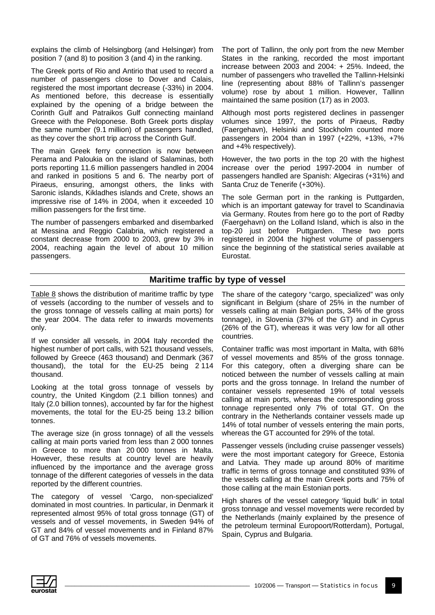explains the climb of Helsingborg (and Helsingør) from position 7 (and 8) to position 3 (and 4) in the ranking.

The Greek ports of Rio and Antirio that used to record a number of passengers close to Dover and Calais, registered the most important decrease (-33%) in 2004. As mentioned before, this decrease is essentially explained by the opening of a bridge between the Corinth Gulf and Patraikos Gulf connecting mainland Greece with the Peloponese. Both Greek ports display the same number (9.1 million) of passengers handled, as they cover the short trip across the Corinth Gulf.

The main Greek ferry connection is now between Perama and Paloukia on the island of Salaminas, both ports reporting 11.6 million passengers handled in 2004 and ranked in positions 5 and 6. The nearby port of Piraeus, ensuring, amongst others, the links with Saronic islands, Kikladhes islands and Crete, shows an impressive rise of 14% in 2004, when it exceeded 10 million passengers for the first time.

The number of passengers embarked and disembarked at Messina and Reggio Calabria, which registered a constant decrease from 2000 to 2003, grew by 3% in 2004, reaching again the level of about 10 million passengers.

The port of Tallinn, the only port from the new Member States in the ranking, recorded the most important increase between 2003 and 2004: + 25%. Indeed, the number of passengers who travelled the Tallinn-Helsinki line (representing about 88% of Tallinn's passenger volume) rose by about 1 million. However, Tallinn maintained the same position (17) as in 2003.

Although most ports registered declines in passenger volumes since 1997, the ports of Piraeus, Rødby (Faergehavn), Helsinki and Stockholm counted more passengers in 2004 than in 1997 (+22%, +13%, +7% and +4% respectively).

However, the two ports in the top 20 with the highest increase over the period 1997-2004 in number of passengers handled are Spanish: Algeciras (+31%) and Santa Cruz de Tenerife (+30%).

The sole German port in the ranking is Puttgarden, which is an important gateway for travel to Scandinavia via Germany. Routes from here go to the port of Rødby (Faergehavn) on the Lolland Island, which is also in the top-20 just before Puttgarden. These two ports registered in 2004 the highest volume of passengers since the beginning of the statistical series available at Eurostat.

#### **Maritime traffic by type of vessel**

Table 8 shows the distribution of maritime traffic by type of vessels (according to the number of vessels and to the gross tonnage of vessels calling at main ports) for the year 2004. The data refer to inwards movements only.

If we consider all vessels, in 2004 Italy recorded the highest number of port calls, with 521 thousand vessels, followed by Greece (463 thousand) and Denmark (367 thousand), the total for the EU-25 being 2 114 thousand.

Looking at the total gross tonnage of vessels by country, the United Kingdom (2.1 billion tonnes) and Italy (2.0 billion tonnes), accounted by far for the highest movements, the total for the EU-25 being 13.2 billion tonnes.

The average size (in gross tonnage) of all the vessels calling at main ports varied from less than 2 000 tonnes in Greece to more than 20 000 tonnes in Malta. However, these results at country level are heavily influenced by the importance and the average gross tonnage of the different categories of vessels in the data reported by the different countries.

The category of vessel 'Cargo, non-specialized' dominated in most countries. In particular, in Denmark it represented almost 95% of total gross tonnage (GT) of vessels and of vessel movements, in Sweden 94% of GT and 84% of vessel movements and in Finland 87% of GT and 76% of vessels movements.

The share of the category "cargo, specialized" was only significant in Belgium (share of 25% in the number of vessels calling at main Belgian ports, 34% of the gross tonnage), in Slovenia (37% of the GT) and in Cyprus (26% of the GT), whereas it was very low for all other countries.

Container traffic was most important in Malta, with 68% of vessel movements and 85% of the gross tonnage. For this category, often a diverging share can be noticed between the number of vessels calling at main ports and the gross tonnage. In Ireland the number of container vessels represented 19% of total vessels calling at main ports, whereas the corresponding gross tonnage represented only 7% of total GT. On the contrary in the Netherlands container vessels made up 14% of total number of vessels entering the main ports, whereas the GT accounted for 29% of the total.

Passenger vessels (including cruise passenger vessels) were the most important category for Greece, Estonia and Latvia. They made up around 80% of maritime traffic in terms of gross tonnage and constituted 93% of the vessels calling at the main Greek ports and 75% of those calling at the main Estonian ports.

High shares of the vessel category 'liquid bulk' in total gross tonnage and vessel movements were recorded by the Netherlands (mainly explained by the presence of the petroleum terminal Europoort/Rotterdam), Portugal, Spain, Cyprus and Bulgaria.

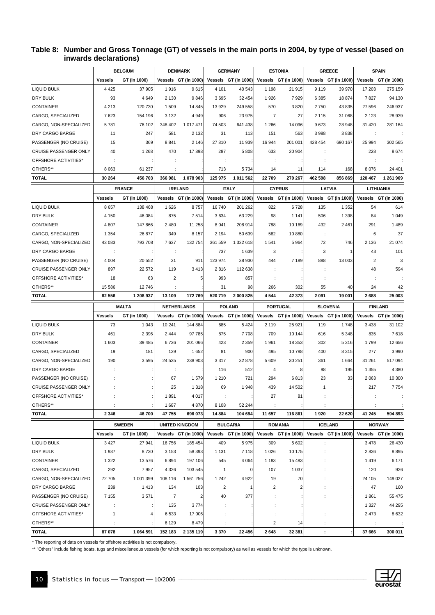#### **Table 8: Number and Gross Tonnage (GT) of vessels in the main ports in 2004, by type of vessel (based on inwards declarations)**

| Vessels GT (in 1000)<br>Vessels GT (in 1000)<br>Vessels GT (in 1000)<br>Vessels GT (in 1000)<br>Vessels GT (in 1000)<br><b>Vessels</b><br>GT (in 1000)<br>4 4 2 5<br>37 905<br>1916<br>9615<br>4 1 0 1<br>40 543<br>1 1 9 8<br>21 915<br>9 1 1 9<br>39 970<br>17 203<br>275 159<br>93<br>4649<br>2 1 3 0<br>9846<br>3695<br>32 454<br>1926<br>7929<br>6 3 8 5<br>18 874<br>7827<br>94 130<br>4 2 1 3<br>120 730<br>1509<br>14 845<br>13 9 29<br>249 558<br>570<br>3820<br>2750<br>43 835<br>27 596<br>246 937<br>7623<br>154 196<br>3 1 3 2<br>4 9 4 9<br>906<br>23 975<br>$\overline{7}$<br>27<br>2 1 1 5<br>31 068<br>2 1 2 3<br>28 939<br>5781<br>76 102<br>348 402<br>1 017 471<br>74 503<br>641 438<br>1 2 6 6<br>14 096<br>9673<br>28 948<br>31 4 20<br>281 164<br>247<br>11<br>581<br>2 1 3 2<br>31<br>113<br>151<br>563<br>3988<br>3838<br>÷<br>369<br>2 1 4 6<br>15<br>8841<br>27810<br>11 939<br>16 944<br>201 001<br>428 454<br>690 167<br>25 994<br>302 565<br>5808<br>8674<br>40<br>1 2 6 8<br>470<br>17898<br>287<br>633<br>20 904<br>228<br>÷<br>÷<br>÷<br>÷<br>÷<br>÷<br>8 0 6 3<br>61 237<br>713<br>8076<br>5734<br>14<br>11<br>114<br>168<br>24 401<br>1 078 903<br>30 264<br>456 703<br>366 981<br>125 975<br>1 011 562<br>22709<br>270 267<br>462 598<br>856 869<br>120 467<br>1 261 969<br><b>FRANCE</b><br><b>ITALY</b><br><b>CYPRUS</b><br><b>LATVIA</b><br><b>LITHUANIA</b><br><b>IRELAND</b><br>Vessels GT (in 1000)<br>Vessels GT (in 1000)<br><b>Vessels</b><br>GT (in 1000)<br>Vessels GT (in 1000)<br>Vessels GT (in 1000)<br>Vessels GT (in 1000)<br>8657<br>138 468<br>1626<br>8757<br>16740<br>201 262<br>822<br>6728<br>135<br>1 3 5 2<br>54<br>614<br>46 084<br>875<br>1 0 4 9<br>DRY BULK<br>4 1 5 0<br>7514<br>3634<br>63 229<br>98<br>1 1 4 1<br>506<br>1 3 9 8<br>84<br>1 4 8 9<br>4 8 0 7<br>147 866<br>2 4 8 0<br>11 258<br>8 0 4 1<br>208 914<br>788<br>10 169<br>432<br>2 4 6 1<br>291<br>37<br>1 3 5 4<br>26 877<br>349<br>8 1 5 7<br>2 1 9 4<br>50 639<br>582<br>10880<br>6<br>$\cdot$ :<br>21 074<br>793 708<br>7637<br>132 754<br>361 559<br>1 322 618<br>1541<br>5964<br>72<br>746<br>2 1 3 6<br>43 083<br>101<br>DRY CARGO BARGE<br>737<br>1639<br>3<br>3<br>43<br>$\overline{1}$<br>÷<br>$\ddot{\phantom{a}}$<br>3<br>PASSENGER (NO CRUISE)<br>4 0 0 4<br>20 552<br>21<br>911<br>123 974<br>38 930<br>444<br>7 1 8 9<br>888<br>13 003<br>$\overline{2}$<br>22 572<br>594<br>CRUISE PASSENGER ONLY<br>897<br>119<br>3413<br>2816<br>112 638<br>48<br>OFFSHORE ACTIVITIES*<br>18<br>63<br>2<br>5<br>993<br>857<br>OTHERS**<br>15 5 86<br>12746<br>31<br>98<br>302<br>55<br>40<br>24<br>42<br>266<br>520 719<br>42 373<br>25 003<br>82 556<br>1 208 937<br>13 109<br>172769<br>2 000 825<br>4544<br>2091<br>19 001<br>2688<br><b>MALTA</b><br><b>POLAND</b><br><b>NETHERLANDS</b><br><b>PORTUGAL</b><br><b>SLOVENIA</b><br><b>FINLAND</b><br><b>Vessels</b><br>GT (in 1000)<br>Vessels GT (in 1000)<br>Vessels GT (in 1000)<br>Vessels GT (in 1000)<br>Vessels GT (in 1000)<br>Vessels GT (in 1000)<br><b>LIQUID BULK</b><br>73<br>1 0 4 3<br>10 241<br>144 884<br>685<br>5424<br>2 1 1 9<br>25 9 21<br>119<br>1748<br>3 4 3 8<br>31 102<br>461<br>2 3 9 6<br>2444<br>97 785<br>875<br>7708<br>709<br>10 144<br>616<br>5 3 4 8<br>835<br>7618<br>39 4 85<br>1603<br>6736<br>201 066<br>423<br>2 3 5 9<br>1961<br>18 353<br>302<br>5 3 1 6<br>1799<br>12 656<br>900<br>3 9 9 0<br>19<br>181<br>129<br>1652<br>81<br>495<br>10788<br>400<br>8 3 1 5<br>277<br>3595<br>30 251<br>CARGO, NON-SPECIALIZED<br>190<br>24 535<br>238 903<br>3317<br>32 878<br>5 6 0 9<br>361<br>1 6 6 4<br>31 261<br>517 094<br>4 3 8 0<br>116<br>512<br>8<br>98<br>195<br>1 3 5 5<br>4<br>÷<br>PASSENGER (NO CRUISE)<br>1579<br>721<br>294<br>6813<br>23<br>33<br>2 0 6 3<br>10 300<br>67<br>1 2 1 0<br>7754<br>25<br>1 3 1 8<br>69<br>1948<br>439<br>14 502<br>217<br>$\overline{1}$<br>OFFSHORE ACTIVITIES*<br>1891<br>4 0 1 7<br>27<br>81<br>1687<br>4870<br>8 1 0 8<br>52 244<br>2 3 4 6<br>46700<br>47755<br>696 073<br>14 8 84<br>104 694<br>11 657<br>116 861<br>1920<br>22 6 20<br>41 245<br>594 893<br><b>SWEDEN</b><br><b>UNITED KINGDOM</b><br><b>BULGARIA</b><br><b>ROMANIA</b><br><b>NORWAY</b><br><b>ICELAND</b><br>Vessels GT (in 1000)<br>Vessels GT (in 1000)<br><b>Vessels</b><br>GT (in 1000)<br>Vessels GT (in 1000)<br>Vessels GT (in 1000)<br>Vessels GT (in 1000)<br>27 941<br>5975<br><b>LIQUID BULK</b><br>3 4 2 7<br>16756<br>185 454<br>409<br>309<br>5 6 0 2<br>3 4 7 8<br>26 430<br>t<br>DRY BULK<br>8730<br>58 393<br>10 175<br>8895<br>1937<br>3 1 5 3<br>1 1 3 1<br>7 1 1 8<br>1 0 2 6<br>2836<br>÷<br>197 106<br>6 1 7 1<br>1 3 2 2<br>13 576<br>6894<br>545<br>4 0 64<br>1 1 8 3<br>15 4 83<br>1419<br>CARGO, SPECIALIZED<br>292<br>7957<br>4 3 2 6<br>103 545<br>107<br>1 0 3 7<br>120<br>926<br>$\mathbf{1}$<br>0<br>72 705<br>1 001 399<br>108 116<br>1 561 256<br>1 2 4 2<br>4922<br>19<br>24 105<br>149 027<br>70<br>239<br>1413<br>134<br>103<br>$\overline{2}$<br>2<br>47<br>160<br>$\overline{2}$<br>-1<br>3571<br>40<br>7 1 5 5<br>$\overline{7}$<br>$\overline{2}$<br>377<br>1861<br>55 475<br>44 295<br>135<br>3774<br>1 3 2 7<br>÷<br>÷ |                        |              | <b>BELGIUM</b> |      | <b>DENMARK</b> | <b>GERMANY</b> |  | <b>ESTONIA</b> | <b>GREECE</b> |         | <b>SPAIN</b> |
|--------------------------------------------------------------------------------------------------------------------------------------------------------------------------------------------------------------------------------------------------------------------------------------------------------------------------------------------------------------------------------------------------------------------------------------------------------------------------------------------------------------------------------------------------------------------------------------------------------------------------------------------------------------------------------------------------------------------------------------------------------------------------------------------------------------------------------------------------------------------------------------------------------------------------------------------------------------------------------------------------------------------------------------------------------------------------------------------------------------------------------------------------------------------------------------------------------------------------------------------------------------------------------------------------------------------------------------------------------------------------------------------------------------------------------------------------------------------------------------------------------------------------------------------------------------------------------------------------------------------------------------------------------------------------------------------------------------------------------------------------------------------------------------------------------------------------------------------------------------------------------------------------------------------------------------------------------------------------------------------------------------------------------------------------------------------------------------------------------------------------------------------------------------------------------------------------------------------------------------------------------------------------------------------------------------------------------------------------------------------------------------------------------------------------------------------------------------------------------------------------------------------------------------------------------------------------------------------------------------------------------------------------------------------------------------------------------------------------------------------------------------------------------------------------------------------------------------------------------------------------------------------------------------------------------------------------------------------------------------------------------------------------------------------------------------------------------------------------------------------------------------------------------------------------------------------------------------------------------------------------------------------------------------------------------------------------------------------------------------------------------------------------------------------------------------------------------------------------------------------------------------------------------------------------------------------------------------------------------------------------------------------------------------------------------------------------------------------------------------------------------------------------------------------------------------------------------------------------------------------------------------------------------------------------------------------------------------------------------------------------------------------------------------------------------------------------------------------------------------------------------------------------------------------------------------------------------------------------------------------------------------------------------------------------------------------------------------------------------------------------------------------------------------------------------------------------------------------------------------------------------------------------------------------------------------------------------------------------------------------------------------------------------------------------------------------------------------------------------------------------------------------------------------------------------------------------------------------------------------------------------------------------------------------------------------------------------------------------------------------------------------------------------------------------------------------------------------------------------------------------------------------------------------------------------------------------------------|------------------------|--------------|----------------|------|----------------|----------------|--|----------------|---------------|---------|--------------|
|                                                                                                                                                                                                                                                                                                                                                                                                                                                                                                                                                                                                                                                                                                                                                                                                                                                                                                                                                                                                                                                                                                                                                                                                                                                                                                                                                                                                                                                                                                                                                                                                                                                                                                                                                                                                                                                                                                                                                                                                                                                                                                                                                                                                                                                                                                                                                                                                                                                                                                                                                                                                                                                                                                                                                                                                                                                                                                                                                                                                                                                                                                                                                                                                                                                                                                                                                                                                                                                                                                                                                                                                                                                                                                                                                                                                                                                                                                                                                                                                                                                                                                                                                                                                                                                                                                                                                                                                                                                                                                                                                                                                                                                                                                                                                                                                                                                                                                                                                                                                                                                                                                                                                                                                              |                        |              |                |      |                |                |  |                |               |         |              |
|                                                                                                                                                                                                                                                                                                                                                                                                                                                                                                                                                                                                                                                                                                                                                                                                                                                                                                                                                                                                                                                                                                                                                                                                                                                                                                                                                                                                                                                                                                                                                                                                                                                                                                                                                                                                                                                                                                                                                                                                                                                                                                                                                                                                                                                                                                                                                                                                                                                                                                                                                                                                                                                                                                                                                                                                                                                                                                                                                                                                                                                                                                                                                                                                                                                                                                                                                                                                                                                                                                                                                                                                                                                                                                                                                                                                                                                                                                                                                                                                                                                                                                                                                                                                                                                                                                                                                                                                                                                                                                                                                                                                                                                                                                                                                                                                                                                                                                                                                                                                                                                                                                                                                                                                              | <b>LIQUID BULK</b>     |              |                |      |                |                |  |                |               |         |              |
|                                                                                                                                                                                                                                                                                                                                                                                                                                                                                                                                                                                                                                                                                                                                                                                                                                                                                                                                                                                                                                                                                                                                                                                                                                                                                                                                                                                                                                                                                                                                                                                                                                                                                                                                                                                                                                                                                                                                                                                                                                                                                                                                                                                                                                                                                                                                                                                                                                                                                                                                                                                                                                                                                                                                                                                                                                                                                                                                                                                                                                                                                                                                                                                                                                                                                                                                                                                                                                                                                                                                                                                                                                                                                                                                                                                                                                                                                                                                                                                                                                                                                                                                                                                                                                                                                                                                                                                                                                                                                                                                                                                                                                                                                                                                                                                                                                                                                                                                                                                                                                                                                                                                                                                                              | DRY BULK               |              |                |      |                |                |  |                |               |         |              |
|                                                                                                                                                                                                                                                                                                                                                                                                                                                                                                                                                                                                                                                                                                                                                                                                                                                                                                                                                                                                                                                                                                                                                                                                                                                                                                                                                                                                                                                                                                                                                                                                                                                                                                                                                                                                                                                                                                                                                                                                                                                                                                                                                                                                                                                                                                                                                                                                                                                                                                                                                                                                                                                                                                                                                                                                                                                                                                                                                                                                                                                                                                                                                                                                                                                                                                                                                                                                                                                                                                                                                                                                                                                                                                                                                                                                                                                                                                                                                                                                                                                                                                                                                                                                                                                                                                                                                                                                                                                                                                                                                                                                                                                                                                                                                                                                                                                                                                                                                                                                                                                                                                                                                                                                              | <b>CONTAINER</b>       |              |                |      |                |                |  |                |               |         |              |
|                                                                                                                                                                                                                                                                                                                                                                                                                                                                                                                                                                                                                                                                                                                                                                                                                                                                                                                                                                                                                                                                                                                                                                                                                                                                                                                                                                                                                                                                                                                                                                                                                                                                                                                                                                                                                                                                                                                                                                                                                                                                                                                                                                                                                                                                                                                                                                                                                                                                                                                                                                                                                                                                                                                                                                                                                                                                                                                                                                                                                                                                                                                                                                                                                                                                                                                                                                                                                                                                                                                                                                                                                                                                                                                                                                                                                                                                                                                                                                                                                                                                                                                                                                                                                                                                                                                                                                                                                                                                                                                                                                                                                                                                                                                                                                                                                                                                                                                                                                                                                                                                                                                                                                                                              | CARGO, SPECIALIZED     |              |                |      |                |                |  |                |               |         |              |
|                                                                                                                                                                                                                                                                                                                                                                                                                                                                                                                                                                                                                                                                                                                                                                                                                                                                                                                                                                                                                                                                                                                                                                                                                                                                                                                                                                                                                                                                                                                                                                                                                                                                                                                                                                                                                                                                                                                                                                                                                                                                                                                                                                                                                                                                                                                                                                                                                                                                                                                                                                                                                                                                                                                                                                                                                                                                                                                                                                                                                                                                                                                                                                                                                                                                                                                                                                                                                                                                                                                                                                                                                                                                                                                                                                                                                                                                                                                                                                                                                                                                                                                                                                                                                                                                                                                                                                                                                                                                                                                                                                                                                                                                                                                                                                                                                                                                                                                                                                                                                                                                                                                                                                                                              | CARGO, NON-SPECIALIZED |              |                |      |                |                |  |                |               |         |              |
|                                                                                                                                                                                                                                                                                                                                                                                                                                                                                                                                                                                                                                                                                                                                                                                                                                                                                                                                                                                                                                                                                                                                                                                                                                                                                                                                                                                                                                                                                                                                                                                                                                                                                                                                                                                                                                                                                                                                                                                                                                                                                                                                                                                                                                                                                                                                                                                                                                                                                                                                                                                                                                                                                                                                                                                                                                                                                                                                                                                                                                                                                                                                                                                                                                                                                                                                                                                                                                                                                                                                                                                                                                                                                                                                                                                                                                                                                                                                                                                                                                                                                                                                                                                                                                                                                                                                                                                                                                                                                                                                                                                                                                                                                                                                                                                                                                                                                                                                                                                                                                                                                                                                                                                                              | DRY CARGO BARGE        |              |                |      |                |                |  |                |               |         |              |
|                                                                                                                                                                                                                                                                                                                                                                                                                                                                                                                                                                                                                                                                                                                                                                                                                                                                                                                                                                                                                                                                                                                                                                                                                                                                                                                                                                                                                                                                                                                                                                                                                                                                                                                                                                                                                                                                                                                                                                                                                                                                                                                                                                                                                                                                                                                                                                                                                                                                                                                                                                                                                                                                                                                                                                                                                                                                                                                                                                                                                                                                                                                                                                                                                                                                                                                                                                                                                                                                                                                                                                                                                                                                                                                                                                                                                                                                                                                                                                                                                                                                                                                                                                                                                                                                                                                                                                                                                                                                                                                                                                                                                                                                                                                                                                                                                                                                                                                                                                                                                                                                                                                                                                                                              | PASSENGER (NO CRUISE)  |              |                |      |                |                |  |                |               |         |              |
|                                                                                                                                                                                                                                                                                                                                                                                                                                                                                                                                                                                                                                                                                                                                                                                                                                                                                                                                                                                                                                                                                                                                                                                                                                                                                                                                                                                                                                                                                                                                                                                                                                                                                                                                                                                                                                                                                                                                                                                                                                                                                                                                                                                                                                                                                                                                                                                                                                                                                                                                                                                                                                                                                                                                                                                                                                                                                                                                                                                                                                                                                                                                                                                                                                                                                                                                                                                                                                                                                                                                                                                                                                                                                                                                                                                                                                                                                                                                                                                                                                                                                                                                                                                                                                                                                                                                                                                                                                                                                                                                                                                                                                                                                                                                                                                                                                                                                                                                                                                                                                                                                                                                                                                                              | CRUISE PASSENGER ONLY  |              |                |      |                |                |  |                |               |         |              |
|                                                                                                                                                                                                                                                                                                                                                                                                                                                                                                                                                                                                                                                                                                                                                                                                                                                                                                                                                                                                                                                                                                                                                                                                                                                                                                                                                                                                                                                                                                                                                                                                                                                                                                                                                                                                                                                                                                                                                                                                                                                                                                                                                                                                                                                                                                                                                                                                                                                                                                                                                                                                                                                                                                                                                                                                                                                                                                                                                                                                                                                                                                                                                                                                                                                                                                                                                                                                                                                                                                                                                                                                                                                                                                                                                                                                                                                                                                                                                                                                                                                                                                                                                                                                                                                                                                                                                                                                                                                                                                                                                                                                                                                                                                                                                                                                                                                                                                                                                                                                                                                                                                                                                                                                              | OFFSHORE ACTIVITIES*   |              |                |      |                |                |  |                |               |         |              |
|                                                                                                                                                                                                                                                                                                                                                                                                                                                                                                                                                                                                                                                                                                                                                                                                                                                                                                                                                                                                                                                                                                                                                                                                                                                                                                                                                                                                                                                                                                                                                                                                                                                                                                                                                                                                                                                                                                                                                                                                                                                                                                                                                                                                                                                                                                                                                                                                                                                                                                                                                                                                                                                                                                                                                                                                                                                                                                                                                                                                                                                                                                                                                                                                                                                                                                                                                                                                                                                                                                                                                                                                                                                                                                                                                                                                                                                                                                                                                                                                                                                                                                                                                                                                                                                                                                                                                                                                                                                                                                                                                                                                                                                                                                                                                                                                                                                                                                                                                                                                                                                                                                                                                                                                              | OTHERS**               |              |                |      |                |                |  |                |               |         |              |
|                                                                                                                                                                                                                                                                                                                                                                                                                                                                                                                                                                                                                                                                                                                                                                                                                                                                                                                                                                                                                                                                                                                                                                                                                                                                                                                                                                                                                                                                                                                                                                                                                                                                                                                                                                                                                                                                                                                                                                                                                                                                                                                                                                                                                                                                                                                                                                                                                                                                                                                                                                                                                                                                                                                                                                                                                                                                                                                                                                                                                                                                                                                                                                                                                                                                                                                                                                                                                                                                                                                                                                                                                                                                                                                                                                                                                                                                                                                                                                                                                                                                                                                                                                                                                                                                                                                                                                                                                                                                                                                                                                                                                                                                                                                                                                                                                                                                                                                                                                                                                                                                                                                                                                                                              | <b>TOTAL</b>           |              |                |      |                |                |  |                |               |         |              |
|                                                                                                                                                                                                                                                                                                                                                                                                                                                                                                                                                                                                                                                                                                                                                                                                                                                                                                                                                                                                                                                                                                                                                                                                                                                                                                                                                                                                                                                                                                                                                                                                                                                                                                                                                                                                                                                                                                                                                                                                                                                                                                                                                                                                                                                                                                                                                                                                                                                                                                                                                                                                                                                                                                                                                                                                                                                                                                                                                                                                                                                                                                                                                                                                                                                                                                                                                                                                                                                                                                                                                                                                                                                                                                                                                                                                                                                                                                                                                                                                                                                                                                                                                                                                                                                                                                                                                                                                                                                                                                                                                                                                                                                                                                                                                                                                                                                                                                                                                                                                                                                                                                                                                                                                              |                        |              |                |      |                |                |  |                |               |         |              |
|                                                                                                                                                                                                                                                                                                                                                                                                                                                                                                                                                                                                                                                                                                                                                                                                                                                                                                                                                                                                                                                                                                                                                                                                                                                                                                                                                                                                                                                                                                                                                                                                                                                                                                                                                                                                                                                                                                                                                                                                                                                                                                                                                                                                                                                                                                                                                                                                                                                                                                                                                                                                                                                                                                                                                                                                                                                                                                                                                                                                                                                                                                                                                                                                                                                                                                                                                                                                                                                                                                                                                                                                                                                                                                                                                                                                                                                                                                                                                                                                                                                                                                                                                                                                                                                                                                                                                                                                                                                                                                                                                                                                                                                                                                                                                                                                                                                                                                                                                                                                                                                                                                                                                                                                              |                        |              |                |      |                |                |  |                |               |         |              |
|                                                                                                                                                                                                                                                                                                                                                                                                                                                                                                                                                                                                                                                                                                                                                                                                                                                                                                                                                                                                                                                                                                                                                                                                                                                                                                                                                                                                                                                                                                                                                                                                                                                                                                                                                                                                                                                                                                                                                                                                                                                                                                                                                                                                                                                                                                                                                                                                                                                                                                                                                                                                                                                                                                                                                                                                                                                                                                                                                                                                                                                                                                                                                                                                                                                                                                                                                                                                                                                                                                                                                                                                                                                                                                                                                                                                                                                                                                                                                                                                                                                                                                                                                                                                                                                                                                                                                                                                                                                                                                                                                                                                                                                                                                                                                                                                                                                                                                                                                                                                                                                                                                                                                                                                              | <b>LIQUID BULK</b>     |              |                |      |                |                |  |                |               |         |              |
|                                                                                                                                                                                                                                                                                                                                                                                                                                                                                                                                                                                                                                                                                                                                                                                                                                                                                                                                                                                                                                                                                                                                                                                                                                                                                                                                                                                                                                                                                                                                                                                                                                                                                                                                                                                                                                                                                                                                                                                                                                                                                                                                                                                                                                                                                                                                                                                                                                                                                                                                                                                                                                                                                                                                                                                                                                                                                                                                                                                                                                                                                                                                                                                                                                                                                                                                                                                                                                                                                                                                                                                                                                                                                                                                                                                                                                                                                                                                                                                                                                                                                                                                                                                                                                                                                                                                                                                                                                                                                                                                                                                                                                                                                                                                                                                                                                                                                                                                                                                                                                                                                                                                                                                                              |                        |              |                |      |                |                |  |                |               |         |              |
|                                                                                                                                                                                                                                                                                                                                                                                                                                                                                                                                                                                                                                                                                                                                                                                                                                                                                                                                                                                                                                                                                                                                                                                                                                                                                                                                                                                                                                                                                                                                                                                                                                                                                                                                                                                                                                                                                                                                                                                                                                                                                                                                                                                                                                                                                                                                                                                                                                                                                                                                                                                                                                                                                                                                                                                                                                                                                                                                                                                                                                                                                                                                                                                                                                                                                                                                                                                                                                                                                                                                                                                                                                                                                                                                                                                                                                                                                                                                                                                                                                                                                                                                                                                                                                                                                                                                                                                                                                                                                                                                                                                                                                                                                                                                                                                                                                                                                                                                                                                                                                                                                                                                                                                                              | <b>CONTAINER</b>       |              |                |      |                |                |  |                |               |         |              |
|                                                                                                                                                                                                                                                                                                                                                                                                                                                                                                                                                                                                                                                                                                                                                                                                                                                                                                                                                                                                                                                                                                                                                                                                                                                                                                                                                                                                                                                                                                                                                                                                                                                                                                                                                                                                                                                                                                                                                                                                                                                                                                                                                                                                                                                                                                                                                                                                                                                                                                                                                                                                                                                                                                                                                                                                                                                                                                                                                                                                                                                                                                                                                                                                                                                                                                                                                                                                                                                                                                                                                                                                                                                                                                                                                                                                                                                                                                                                                                                                                                                                                                                                                                                                                                                                                                                                                                                                                                                                                                                                                                                                                                                                                                                                                                                                                                                                                                                                                                                                                                                                                                                                                                                                              | CARGO, SPECIALIZED     |              |                |      |                |                |  |                |               |         |              |
|                                                                                                                                                                                                                                                                                                                                                                                                                                                                                                                                                                                                                                                                                                                                                                                                                                                                                                                                                                                                                                                                                                                                                                                                                                                                                                                                                                                                                                                                                                                                                                                                                                                                                                                                                                                                                                                                                                                                                                                                                                                                                                                                                                                                                                                                                                                                                                                                                                                                                                                                                                                                                                                                                                                                                                                                                                                                                                                                                                                                                                                                                                                                                                                                                                                                                                                                                                                                                                                                                                                                                                                                                                                                                                                                                                                                                                                                                                                                                                                                                                                                                                                                                                                                                                                                                                                                                                                                                                                                                                                                                                                                                                                                                                                                                                                                                                                                                                                                                                                                                                                                                                                                                                                                              | CARGO, NON-SPECIALIZED |              |                |      |                |                |  |                |               |         |              |
|                                                                                                                                                                                                                                                                                                                                                                                                                                                                                                                                                                                                                                                                                                                                                                                                                                                                                                                                                                                                                                                                                                                                                                                                                                                                                                                                                                                                                                                                                                                                                                                                                                                                                                                                                                                                                                                                                                                                                                                                                                                                                                                                                                                                                                                                                                                                                                                                                                                                                                                                                                                                                                                                                                                                                                                                                                                                                                                                                                                                                                                                                                                                                                                                                                                                                                                                                                                                                                                                                                                                                                                                                                                                                                                                                                                                                                                                                                                                                                                                                                                                                                                                                                                                                                                                                                                                                                                                                                                                                                                                                                                                                                                                                                                                                                                                                                                                                                                                                                                                                                                                                                                                                                                                              |                        |              |                |      |                |                |  |                |               |         |              |
|                                                                                                                                                                                                                                                                                                                                                                                                                                                                                                                                                                                                                                                                                                                                                                                                                                                                                                                                                                                                                                                                                                                                                                                                                                                                                                                                                                                                                                                                                                                                                                                                                                                                                                                                                                                                                                                                                                                                                                                                                                                                                                                                                                                                                                                                                                                                                                                                                                                                                                                                                                                                                                                                                                                                                                                                                                                                                                                                                                                                                                                                                                                                                                                                                                                                                                                                                                                                                                                                                                                                                                                                                                                                                                                                                                                                                                                                                                                                                                                                                                                                                                                                                                                                                                                                                                                                                                                                                                                                                                                                                                                                                                                                                                                                                                                                                                                                                                                                                                                                                                                                                                                                                                                                              |                        |              |                |      |                |                |  |                |               |         |              |
|                                                                                                                                                                                                                                                                                                                                                                                                                                                                                                                                                                                                                                                                                                                                                                                                                                                                                                                                                                                                                                                                                                                                                                                                                                                                                                                                                                                                                                                                                                                                                                                                                                                                                                                                                                                                                                                                                                                                                                                                                                                                                                                                                                                                                                                                                                                                                                                                                                                                                                                                                                                                                                                                                                                                                                                                                                                                                                                                                                                                                                                                                                                                                                                                                                                                                                                                                                                                                                                                                                                                                                                                                                                                                                                                                                                                                                                                                                                                                                                                                                                                                                                                                                                                                                                                                                                                                                                                                                                                                                                                                                                                                                                                                                                                                                                                                                                                                                                                                                                                                                                                                                                                                                                                              |                        |              |                |      |                |                |  |                |               |         |              |
|                                                                                                                                                                                                                                                                                                                                                                                                                                                                                                                                                                                                                                                                                                                                                                                                                                                                                                                                                                                                                                                                                                                                                                                                                                                                                                                                                                                                                                                                                                                                                                                                                                                                                                                                                                                                                                                                                                                                                                                                                                                                                                                                                                                                                                                                                                                                                                                                                                                                                                                                                                                                                                                                                                                                                                                                                                                                                                                                                                                                                                                                                                                                                                                                                                                                                                                                                                                                                                                                                                                                                                                                                                                                                                                                                                                                                                                                                                                                                                                                                                                                                                                                                                                                                                                                                                                                                                                                                                                                                                                                                                                                                                                                                                                                                                                                                                                                                                                                                                                                                                                                                                                                                                                                              |                        |              |                |      |                |                |  |                |               |         |              |
|                                                                                                                                                                                                                                                                                                                                                                                                                                                                                                                                                                                                                                                                                                                                                                                                                                                                                                                                                                                                                                                                                                                                                                                                                                                                                                                                                                                                                                                                                                                                                                                                                                                                                                                                                                                                                                                                                                                                                                                                                                                                                                                                                                                                                                                                                                                                                                                                                                                                                                                                                                                                                                                                                                                                                                                                                                                                                                                                                                                                                                                                                                                                                                                                                                                                                                                                                                                                                                                                                                                                                                                                                                                                                                                                                                                                                                                                                                                                                                                                                                                                                                                                                                                                                                                                                                                                                                                                                                                                                                                                                                                                                                                                                                                                                                                                                                                                                                                                                                                                                                                                                                                                                                                                              |                        |              |                |      |                |                |  |                |               |         |              |
|                                                                                                                                                                                                                                                                                                                                                                                                                                                                                                                                                                                                                                                                                                                                                                                                                                                                                                                                                                                                                                                                                                                                                                                                                                                                                                                                                                                                                                                                                                                                                                                                                                                                                                                                                                                                                                                                                                                                                                                                                                                                                                                                                                                                                                                                                                                                                                                                                                                                                                                                                                                                                                                                                                                                                                                                                                                                                                                                                                                                                                                                                                                                                                                                                                                                                                                                                                                                                                                                                                                                                                                                                                                                                                                                                                                                                                                                                                                                                                                                                                                                                                                                                                                                                                                                                                                                                                                                                                                                                                                                                                                                                                                                                                                                                                                                                                                                                                                                                                                                                                                                                                                                                                                                              | <b>TOTAL</b>           |              |                |      |                |                |  |                |               |         |              |
|                                                                                                                                                                                                                                                                                                                                                                                                                                                                                                                                                                                                                                                                                                                                                                                                                                                                                                                                                                                                                                                                                                                                                                                                                                                                                                                                                                                                                                                                                                                                                                                                                                                                                                                                                                                                                                                                                                                                                                                                                                                                                                                                                                                                                                                                                                                                                                                                                                                                                                                                                                                                                                                                                                                                                                                                                                                                                                                                                                                                                                                                                                                                                                                                                                                                                                                                                                                                                                                                                                                                                                                                                                                                                                                                                                                                                                                                                                                                                                                                                                                                                                                                                                                                                                                                                                                                                                                                                                                                                                                                                                                                                                                                                                                                                                                                                                                                                                                                                                                                                                                                                                                                                                                                              |                        |              |                |      |                |                |  |                |               |         |              |
|                                                                                                                                                                                                                                                                                                                                                                                                                                                                                                                                                                                                                                                                                                                                                                                                                                                                                                                                                                                                                                                                                                                                                                                                                                                                                                                                                                                                                                                                                                                                                                                                                                                                                                                                                                                                                                                                                                                                                                                                                                                                                                                                                                                                                                                                                                                                                                                                                                                                                                                                                                                                                                                                                                                                                                                                                                                                                                                                                                                                                                                                                                                                                                                                                                                                                                                                                                                                                                                                                                                                                                                                                                                                                                                                                                                                                                                                                                                                                                                                                                                                                                                                                                                                                                                                                                                                                                                                                                                                                                                                                                                                                                                                                                                                                                                                                                                                                                                                                                                                                                                                                                                                                                                                              |                        |              |                |      |                |                |  |                |               |         |              |
|                                                                                                                                                                                                                                                                                                                                                                                                                                                                                                                                                                                                                                                                                                                                                                                                                                                                                                                                                                                                                                                                                                                                                                                                                                                                                                                                                                                                                                                                                                                                                                                                                                                                                                                                                                                                                                                                                                                                                                                                                                                                                                                                                                                                                                                                                                                                                                                                                                                                                                                                                                                                                                                                                                                                                                                                                                                                                                                                                                                                                                                                                                                                                                                                                                                                                                                                                                                                                                                                                                                                                                                                                                                                                                                                                                                                                                                                                                                                                                                                                                                                                                                                                                                                                                                                                                                                                                                                                                                                                                                                                                                                                                                                                                                                                                                                                                                                                                                                                                                                                                                                                                                                                                                                              |                        |              |                |      |                |                |  |                |               |         |              |
|                                                                                                                                                                                                                                                                                                                                                                                                                                                                                                                                                                                                                                                                                                                                                                                                                                                                                                                                                                                                                                                                                                                                                                                                                                                                                                                                                                                                                                                                                                                                                                                                                                                                                                                                                                                                                                                                                                                                                                                                                                                                                                                                                                                                                                                                                                                                                                                                                                                                                                                                                                                                                                                                                                                                                                                                                                                                                                                                                                                                                                                                                                                                                                                                                                                                                                                                                                                                                                                                                                                                                                                                                                                                                                                                                                                                                                                                                                                                                                                                                                                                                                                                                                                                                                                                                                                                                                                                                                                                                                                                                                                                                                                                                                                                                                                                                                                                                                                                                                                                                                                                                                                                                                                                              | DRY BULK               |              |                |      |                |                |  |                |               |         |              |
|                                                                                                                                                                                                                                                                                                                                                                                                                                                                                                                                                                                                                                                                                                                                                                                                                                                                                                                                                                                                                                                                                                                                                                                                                                                                                                                                                                                                                                                                                                                                                                                                                                                                                                                                                                                                                                                                                                                                                                                                                                                                                                                                                                                                                                                                                                                                                                                                                                                                                                                                                                                                                                                                                                                                                                                                                                                                                                                                                                                                                                                                                                                                                                                                                                                                                                                                                                                                                                                                                                                                                                                                                                                                                                                                                                                                                                                                                                                                                                                                                                                                                                                                                                                                                                                                                                                                                                                                                                                                                                                                                                                                                                                                                                                                                                                                                                                                                                                                                                                                                                                                                                                                                                                                              | <b>CONTAINER</b>       |              |                |      |                |                |  |                |               |         |              |
|                                                                                                                                                                                                                                                                                                                                                                                                                                                                                                                                                                                                                                                                                                                                                                                                                                                                                                                                                                                                                                                                                                                                                                                                                                                                                                                                                                                                                                                                                                                                                                                                                                                                                                                                                                                                                                                                                                                                                                                                                                                                                                                                                                                                                                                                                                                                                                                                                                                                                                                                                                                                                                                                                                                                                                                                                                                                                                                                                                                                                                                                                                                                                                                                                                                                                                                                                                                                                                                                                                                                                                                                                                                                                                                                                                                                                                                                                                                                                                                                                                                                                                                                                                                                                                                                                                                                                                                                                                                                                                                                                                                                                                                                                                                                                                                                                                                                                                                                                                                                                                                                                                                                                                                                              | CARGO, SPECIALIZED     |              |                |      |                |                |  |                |               |         |              |
|                                                                                                                                                                                                                                                                                                                                                                                                                                                                                                                                                                                                                                                                                                                                                                                                                                                                                                                                                                                                                                                                                                                                                                                                                                                                                                                                                                                                                                                                                                                                                                                                                                                                                                                                                                                                                                                                                                                                                                                                                                                                                                                                                                                                                                                                                                                                                                                                                                                                                                                                                                                                                                                                                                                                                                                                                                                                                                                                                                                                                                                                                                                                                                                                                                                                                                                                                                                                                                                                                                                                                                                                                                                                                                                                                                                                                                                                                                                                                                                                                                                                                                                                                                                                                                                                                                                                                                                                                                                                                                                                                                                                                                                                                                                                                                                                                                                                                                                                                                                                                                                                                                                                                                                                              |                        |              |                |      |                |                |  |                |               |         |              |
|                                                                                                                                                                                                                                                                                                                                                                                                                                                                                                                                                                                                                                                                                                                                                                                                                                                                                                                                                                                                                                                                                                                                                                                                                                                                                                                                                                                                                                                                                                                                                                                                                                                                                                                                                                                                                                                                                                                                                                                                                                                                                                                                                                                                                                                                                                                                                                                                                                                                                                                                                                                                                                                                                                                                                                                                                                                                                                                                                                                                                                                                                                                                                                                                                                                                                                                                                                                                                                                                                                                                                                                                                                                                                                                                                                                                                                                                                                                                                                                                                                                                                                                                                                                                                                                                                                                                                                                                                                                                                                                                                                                                                                                                                                                                                                                                                                                                                                                                                                                                                                                                                                                                                                                                              | DRY CARGO BARGE        |              |                |      |                |                |  |                |               |         |              |
|                                                                                                                                                                                                                                                                                                                                                                                                                                                                                                                                                                                                                                                                                                                                                                                                                                                                                                                                                                                                                                                                                                                                                                                                                                                                                                                                                                                                                                                                                                                                                                                                                                                                                                                                                                                                                                                                                                                                                                                                                                                                                                                                                                                                                                                                                                                                                                                                                                                                                                                                                                                                                                                                                                                                                                                                                                                                                                                                                                                                                                                                                                                                                                                                                                                                                                                                                                                                                                                                                                                                                                                                                                                                                                                                                                                                                                                                                                                                                                                                                                                                                                                                                                                                                                                                                                                                                                                                                                                                                                                                                                                                                                                                                                                                                                                                                                                                                                                                                                                                                                                                                                                                                                                                              |                        |              |                |      |                |                |  |                |               |         |              |
|                                                                                                                                                                                                                                                                                                                                                                                                                                                                                                                                                                                                                                                                                                                                                                                                                                                                                                                                                                                                                                                                                                                                                                                                                                                                                                                                                                                                                                                                                                                                                                                                                                                                                                                                                                                                                                                                                                                                                                                                                                                                                                                                                                                                                                                                                                                                                                                                                                                                                                                                                                                                                                                                                                                                                                                                                                                                                                                                                                                                                                                                                                                                                                                                                                                                                                                                                                                                                                                                                                                                                                                                                                                                                                                                                                                                                                                                                                                                                                                                                                                                                                                                                                                                                                                                                                                                                                                                                                                                                                                                                                                                                                                                                                                                                                                                                                                                                                                                                                                                                                                                                                                                                                                                              | CRUISE PASSENGER ONLY  |              |                |      |                |                |  |                |               |         |              |
|                                                                                                                                                                                                                                                                                                                                                                                                                                                                                                                                                                                                                                                                                                                                                                                                                                                                                                                                                                                                                                                                                                                                                                                                                                                                                                                                                                                                                                                                                                                                                                                                                                                                                                                                                                                                                                                                                                                                                                                                                                                                                                                                                                                                                                                                                                                                                                                                                                                                                                                                                                                                                                                                                                                                                                                                                                                                                                                                                                                                                                                                                                                                                                                                                                                                                                                                                                                                                                                                                                                                                                                                                                                                                                                                                                                                                                                                                                                                                                                                                                                                                                                                                                                                                                                                                                                                                                                                                                                                                                                                                                                                                                                                                                                                                                                                                                                                                                                                                                                                                                                                                                                                                                                                              |                        |              |                |      |                |                |  |                |               |         |              |
|                                                                                                                                                                                                                                                                                                                                                                                                                                                                                                                                                                                                                                                                                                                                                                                                                                                                                                                                                                                                                                                                                                                                                                                                                                                                                                                                                                                                                                                                                                                                                                                                                                                                                                                                                                                                                                                                                                                                                                                                                                                                                                                                                                                                                                                                                                                                                                                                                                                                                                                                                                                                                                                                                                                                                                                                                                                                                                                                                                                                                                                                                                                                                                                                                                                                                                                                                                                                                                                                                                                                                                                                                                                                                                                                                                                                                                                                                                                                                                                                                                                                                                                                                                                                                                                                                                                                                                                                                                                                                                                                                                                                                                                                                                                                                                                                                                                                                                                                                                                                                                                                                                                                                                                                              | OTHERS**               |              |                |      |                |                |  |                |               |         |              |
|                                                                                                                                                                                                                                                                                                                                                                                                                                                                                                                                                                                                                                                                                                                                                                                                                                                                                                                                                                                                                                                                                                                                                                                                                                                                                                                                                                                                                                                                                                                                                                                                                                                                                                                                                                                                                                                                                                                                                                                                                                                                                                                                                                                                                                                                                                                                                                                                                                                                                                                                                                                                                                                                                                                                                                                                                                                                                                                                                                                                                                                                                                                                                                                                                                                                                                                                                                                                                                                                                                                                                                                                                                                                                                                                                                                                                                                                                                                                                                                                                                                                                                                                                                                                                                                                                                                                                                                                                                                                                                                                                                                                                                                                                                                                                                                                                                                                                                                                                                                                                                                                                                                                                                                                              | <b>TOTAL</b>           |              |                |      |                |                |  |                |               |         |              |
|                                                                                                                                                                                                                                                                                                                                                                                                                                                                                                                                                                                                                                                                                                                                                                                                                                                                                                                                                                                                                                                                                                                                                                                                                                                                                                                                                                                                                                                                                                                                                                                                                                                                                                                                                                                                                                                                                                                                                                                                                                                                                                                                                                                                                                                                                                                                                                                                                                                                                                                                                                                                                                                                                                                                                                                                                                                                                                                                                                                                                                                                                                                                                                                                                                                                                                                                                                                                                                                                                                                                                                                                                                                                                                                                                                                                                                                                                                                                                                                                                                                                                                                                                                                                                                                                                                                                                                                                                                                                                                                                                                                                                                                                                                                                                                                                                                                                                                                                                                                                                                                                                                                                                                                                              |                        |              |                |      |                |                |  |                |               |         |              |
|                                                                                                                                                                                                                                                                                                                                                                                                                                                                                                                                                                                                                                                                                                                                                                                                                                                                                                                                                                                                                                                                                                                                                                                                                                                                                                                                                                                                                                                                                                                                                                                                                                                                                                                                                                                                                                                                                                                                                                                                                                                                                                                                                                                                                                                                                                                                                                                                                                                                                                                                                                                                                                                                                                                                                                                                                                                                                                                                                                                                                                                                                                                                                                                                                                                                                                                                                                                                                                                                                                                                                                                                                                                                                                                                                                                                                                                                                                                                                                                                                                                                                                                                                                                                                                                                                                                                                                                                                                                                                                                                                                                                                                                                                                                                                                                                                                                                                                                                                                                                                                                                                                                                                                                                              |                        |              |                |      |                |                |  |                |               |         |              |
|                                                                                                                                                                                                                                                                                                                                                                                                                                                                                                                                                                                                                                                                                                                                                                                                                                                                                                                                                                                                                                                                                                                                                                                                                                                                                                                                                                                                                                                                                                                                                                                                                                                                                                                                                                                                                                                                                                                                                                                                                                                                                                                                                                                                                                                                                                                                                                                                                                                                                                                                                                                                                                                                                                                                                                                                                                                                                                                                                                                                                                                                                                                                                                                                                                                                                                                                                                                                                                                                                                                                                                                                                                                                                                                                                                                                                                                                                                                                                                                                                                                                                                                                                                                                                                                                                                                                                                                                                                                                                                                                                                                                                                                                                                                                                                                                                                                                                                                                                                                                                                                                                                                                                                                                              |                        |              |                |      |                |                |  |                |               |         |              |
|                                                                                                                                                                                                                                                                                                                                                                                                                                                                                                                                                                                                                                                                                                                                                                                                                                                                                                                                                                                                                                                                                                                                                                                                                                                                                                                                                                                                                                                                                                                                                                                                                                                                                                                                                                                                                                                                                                                                                                                                                                                                                                                                                                                                                                                                                                                                                                                                                                                                                                                                                                                                                                                                                                                                                                                                                                                                                                                                                                                                                                                                                                                                                                                                                                                                                                                                                                                                                                                                                                                                                                                                                                                                                                                                                                                                                                                                                                                                                                                                                                                                                                                                                                                                                                                                                                                                                                                                                                                                                                                                                                                                                                                                                                                                                                                                                                                                                                                                                                                                                                                                                                                                                                                                              |                        |              |                |      |                |                |  |                |               |         |              |
|                                                                                                                                                                                                                                                                                                                                                                                                                                                                                                                                                                                                                                                                                                                                                                                                                                                                                                                                                                                                                                                                                                                                                                                                                                                                                                                                                                                                                                                                                                                                                                                                                                                                                                                                                                                                                                                                                                                                                                                                                                                                                                                                                                                                                                                                                                                                                                                                                                                                                                                                                                                                                                                                                                                                                                                                                                                                                                                                                                                                                                                                                                                                                                                                                                                                                                                                                                                                                                                                                                                                                                                                                                                                                                                                                                                                                                                                                                                                                                                                                                                                                                                                                                                                                                                                                                                                                                                                                                                                                                                                                                                                                                                                                                                                                                                                                                                                                                                                                                                                                                                                                                                                                                                                              | <b>CONTAINER</b>       |              |                |      |                |                |  |                |               |         |              |
|                                                                                                                                                                                                                                                                                                                                                                                                                                                                                                                                                                                                                                                                                                                                                                                                                                                                                                                                                                                                                                                                                                                                                                                                                                                                                                                                                                                                                                                                                                                                                                                                                                                                                                                                                                                                                                                                                                                                                                                                                                                                                                                                                                                                                                                                                                                                                                                                                                                                                                                                                                                                                                                                                                                                                                                                                                                                                                                                                                                                                                                                                                                                                                                                                                                                                                                                                                                                                                                                                                                                                                                                                                                                                                                                                                                                                                                                                                                                                                                                                                                                                                                                                                                                                                                                                                                                                                                                                                                                                                                                                                                                                                                                                                                                                                                                                                                                                                                                                                                                                                                                                                                                                                                                              |                        |              |                |      |                |                |  |                |               |         |              |
|                                                                                                                                                                                                                                                                                                                                                                                                                                                                                                                                                                                                                                                                                                                                                                                                                                                                                                                                                                                                                                                                                                                                                                                                                                                                                                                                                                                                                                                                                                                                                                                                                                                                                                                                                                                                                                                                                                                                                                                                                                                                                                                                                                                                                                                                                                                                                                                                                                                                                                                                                                                                                                                                                                                                                                                                                                                                                                                                                                                                                                                                                                                                                                                                                                                                                                                                                                                                                                                                                                                                                                                                                                                                                                                                                                                                                                                                                                                                                                                                                                                                                                                                                                                                                                                                                                                                                                                                                                                                                                                                                                                                                                                                                                                                                                                                                                                                                                                                                                                                                                                                                                                                                                                                              | CARGO, NON-SPECIALIZED |              |                |      |                |                |  |                |               |         |              |
|                                                                                                                                                                                                                                                                                                                                                                                                                                                                                                                                                                                                                                                                                                                                                                                                                                                                                                                                                                                                                                                                                                                                                                                                                                                                                                                                                                                                                                                                                                                                                                                                                                                                                                                                                                                                                                                                                                                                                                                                                                                                                                                                                                                                                                                                                                                                                                                                                                                                                                                                                                                                                                                                                                                                                                                                                                                                                                                                                                                                                                                                                                                                                                                                                                                                                                                                                                                                                                                                                                                                                                                                                                                                                                                                                                                                                                                                                                                                                                                                                                                                                                                                                                                                                                                                                                                                                                                                                                                                                                                                                                                                                                                                                                                                                                                                                                                                                                                                                                                                                                                                                                                                                                                                              | DRY CARGO BARGE        |              |                |      |                |                |  |                |               |         |              |
|                                                                                                                                                                                                                                                                                                                                                                                                                                                                                                                                                                                                                                                                                                                                                                                                                                                                                                                                                                                                                                                                                                                                                                                                                                                                                                                                                                                                                                                                                                                                                                                                                                                                                                                                                                                                                                                                                                                                                                                                                                                                                                                                                                                                                                                                                                                                                                                                                                                                                                                                                                                                                                                                                                                                                                                                                                                                                                                                                                                                                                                                                                                                                                                                                                                                                                                                                                                                                                                                                                                                                                                                                                                                                                                                                                                                                                                                                                                                                                                                                                                                                                                                                                                                                                                                                                                                                                                                                                                                                                                                                                                                                                                                                                                                                                                                                                                                                                                                                                                                                                                                                                                                                                                                              | PASSENGER (NO CRUISE)  |              |                |      |                |                |  |                |               |         |              |
|                                                                                                                                                                                                                                                                                                                                                                                                                                                                                                                                                                                                                                                                                                                                                                                                                                                                                                                                                                                                                                                                                                                                                                                                                                                                                                                                                                                                                                                                                                                                                                                                                                                                                                                                                                                                                                                                                                                                                                                                                                                                                                                                                                                                                                                                                                                                                                                                                                                                                                                                                                                                                                                                                                                                                                                                                                                                                                                                                                                                                                                                                                                                                                                                                                                                                                                                                                                                                                                                                                                                                                                                                                                                                                                                                                                                                                                                                                                                                                                                                                                                                                                                                                                                                                                                                                                                                                                                                                                                                                                                                                                                                                                                                                                                                                                                                                                                                                                                                                                                                                                                                                                                                                                                              | CRUISE PASSENGER ONLY  |              |                |      |                |                |  |                |               |         |              |
| ÷                                                                                                                                                                                                                                                                                                                                                                                                                                                                                                                                                                                                                                                                                                                                                                                                                                                                                                                                                                                                                                                                                                                                                                                                                                                                                                                                                                                                                                                                                                                                                                                                                                                                                                                                                                                                                                                                                                                                                                                                                                                                                                                                                                                                                                                                                                                                                                                                                                                                                                                                                                                                                                                                                                                                                                                                                                                                                                                                                                                                                                                                                                                                                                                                                                                                                                                                                                                                                                                                                                                                                                                                                                                                                                                                                                                                                                                                                                                                                                                                                                                                                                                                                                                                                                                                                                                                                                                                                                                                                                                                                                                                                                                                                                                                                                                                                                                                                                                                                                                                                                                                                                                                                                                                            | OFFSHORE ACTIVITIES*   | $\mathbf{1}$ |                | 6533 | 17 006         |                |  |                |               | 2 4 7 3 | 8632         |
| 8 4 7 9<br>$\overline{2}$<br>6 1 2 9<br>14<br>÷                                                                                                                                                                                                                                                                                                                                                                                                                                                                                                                                                                                                                                                                                                                                                                                                                                                                                                                                                                                                                                                                                                                                                                                                                                                                                                                                                                                                                                                                                                                                                                                                                                                                                                                                                                                                                                                                                                                                                                                                                                                                                                                                                                                                                                                                                                                                                                                                                                                                                                                                                                                                                                                                                                                                                                                                                                                                                                                                                                                                                                                                                                                                                                                                                                                                                                                                                                                                                                                                                                                                                                                                                                                                                                                                                                                                                                                                                                                                                                                                                                                                                                                                                                                                                                                                                                                                                                                                                                                                                                                                                                                                                                                                                                                                                                                                                                                                                                                                                                                                                                                                                                                                                              | OTHERS**               |              |                |      |                |                |  |                |               |         |              |
| 87078<br>1 064 591<br>2 135 119<br>22 456<br>2648<br>32 381<br>152 183<br>3370<br>37 666<br>300 011<br>÷                                                                                                                                                                                                                                                                                                                                                                                                                                                                                                                                                                                                                                                                                                                                                                                                                                                                                                                                                                                                                                                                                                                                                                                                                                                                                                                                                                                                                                                                                                                                                                                                                                                                                                                                                                                                                                                                                                                                                                                                                                                                                                                                                                                                                                                                                                                                                                                                                                                                                                                                                                                                                                                                                                                                                                                                                                                                                                                                                                                                                                                                                                                                                                                                                                                                                                                                                                                                                                                                                                                                                                                                                                                                                                                                                                                                                                                                                                                                                                                                                                                                                                                                                                                                                                                                                                                                                                                                                                                                                                                                                                                                                                                                                                                                                                                                                                                                                                                                                                                                                                                                                                     | <b>TOTAL</b>           |              |                |      |                |                |  |                |               |         |              |

\* The reporting of data on vessels for offshore activities is not compulsory.

\*\* "Others" include fishing boats, tugs and miscellaneous vessels (for which reporting is not compulsory) as well as vessels for which the type is unknown.

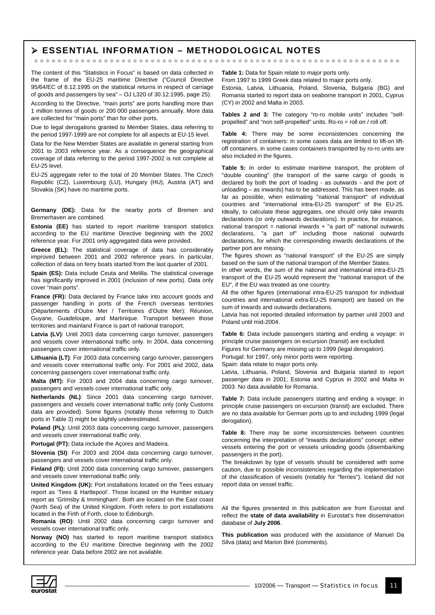#### ¾ **ESSENTIAL INFORMATION – METHODOLOGICAL NOTES**

zzzzzzzzzzzzzzzzzzzzzzzzzzzzzzzzzzzzzzzzzzzzzzzzzzzzzzzzzzzzzzz

The content of this "Statistics in Focus" is based on data collected in the frame of the EU-25 maritime Directive ("Council Directive 95/64/EC of 8.12.1995 on the statistical returns in respect of carriage of goods and passengers by sea" – OJ L320 of  $30.12.1995$ , page 25).

According to the Directive, "main ports" are ports handling more than 1 million tonnes of goods or 200 000 passengers annually. More data are collected for "main ports" than for other ports.

Due to legal derogations granted to Member States, data referring to the period 1997-1999 are not complete for all aspects at EU-15 level.

Data for the New Member States are available in general starting from 2001 to 2003 reference year. As a consequence the geographical coverage of data referring to the period 1997-2002 is not complete at EU-25 level.

EU-25 aggregate refer to the total of 20 Member States. The Czech Republic (CZ), Luxembourg (LU), Hungary (HU), Austria (AT) and Slovakia (SK) have no maritime ports.

**Germany (DE):** Data for the nearby ports of Bremen and Bremerhaven are combined.

**Estonia (EE)** has started to report maritime transport statistics according to the EU maritime Directive beginning with the 2002 reference year. For 2001 only aggregated data were provided.

**Greece (EL):** The statistical coverage of data has considerably improved between 2001 and 2002 reference years. In particular, collection of data on ferry boats started from the last quarter of 2001.

**Spain (ES):** Data include Ceuta and Melilla. The statistical coverage has significantly improved in 2001 (inclusion of new ports). Data only cover "main ports".

France (FR): Data declared by France take into account goods and passenger handling in ports of the French overseas territories (Départements d'Outre Mer / Territoires d'Outre Mer): Réunion, Guyane, Guadeloupe, and Martinique. Transport between those territories and mainland France is part of national transport.

**Latvia (LV)**: Until 2003 data concerning cargo turnover, passengers and vessels cover international traffic only. In 2004, data concerning passengers cover international traffic only.

**Lithuania (LT)**: For 2003 data concerning cargo turnover, passengers and vessels cover international traffic only. For 2001 and 2002, data concerning passengers cover international traffic only.

**Malta (MT):** For 2003 and 2004 data concerning cargo turnover, passengers and vessels cover international traffic only.

**Netherlands (NL)**: Since 2001 data concerning cargo turnover, passengers and vessels cover international traffic only (only Customs data are provided). Some figures (notably those referring to Dutch ports in Table 3) might be slightly underestimated.

Poland (PL): Until 2003 data concerning cargo turnover, passengers and vessels cover international traffic only.

**Portugal (PT):** Data include the Açores and Madeira.

**Slovenia (SI)**: For 2003 and 2004 data concerning cargo turnover, passengers and vessels cover international traffic only.

**Finland (FI):** Until 2000 data concerning cargo turnover, passengers and vessels cover international traffic only.

**United Kingdom (UK):** Port installations located on the Tees estuary report as 'Tees & Hartlepool'. Those located on the Humber estuary report as 'Grimsby & Immingham'. Both are located on the East coast (North Sea) of the United Kingdom. Forth refers to port installations located in the Firth of Forth, close to Edinburgh.

**Romania (RO)**: Until 2002 data concerning cargo turnover and vessels cover international traffic only.

**Norway (NO)** has started to report maritime transport statistics according to the EU maritime Directive beginning with the 2002 reference year. Data before 2002 are not available.

**Table 1:** Data for Spain relate to major ports only.

From 1997 to 1999 Greek data related to major ports only. Estonia, Latvia, Lithuania, Poland, Slovenia, Bulgaria (BG) and Romania started to report data on seaborne transport in 2001, Cyprus (CY) in 2002 and Malta in 2003.

**Tables 2 and 3:** The category "ro-ro mobile units" includes "selfpropelled" and "non self-propelled" units. Ro-ro = roll on / roll off.

**Table 4:** There may be some inconsistencies concerning the registration of containers: in some cases data are limited to lift-on liftoff containers, in some cases containers transported by ro-ro units are also included in the figures.

**Table 5:** In order to estimate maritime transport, the problem of "double counting" (the transport of the same cargo of goods is declared by both the port of loading - as outwards - and the port of unloading – as inwards) has to be addressed. This has been made, as far as possible, when estimating "national transport" of individual countries and "international intra-EU-25 transport" of the EU-25. Ideally, to calculate these aggregates, one should only take inwards declarations (or only outwards declarations). In practice, for instance, national transport = national inwards + "a part of" national outwards declarations, "a part of" including those national outwards declarations, for which the corresponding inwards declarations of the partner port are missing.

The figures shown as "national transport" of the EU-25 are simply based on the sum of the national transport of the Member States.

In other words, the sum of the national and international intra-EU-25 transport of the EU-25 would represent the "national transport of the EU", if the EU was treated as one country.

All the other figures (international intra-EU-25 transport for individual countries and international extra-EU-25 transport) are based on the sum of inwards and outwards declarations.

Latvia has not reported detailed information by partner until 2003 and Poland until mid-2004.

**Table 6:** Data include passengers starting and ending a voyage: in principle cruise passengers on excursion (transit) are excluded.

Figures for Germany are missing up to 1999 (legal derogation).

Portugal: for 1997, only minor ports were reporting.

Spain: data relate to major ports only.

Latvia, Lithuania, Poland, Slovenia and Bulgaria started to report passenger data in 2001; Estonia and Cyprus in 2002 and Malta in 2003. No data available for Romania.

**Table 7:** Data include passengers starting and ending a voyage: in principle cruise passengers on excursion (transit) are excluded. There are no data available for German ports up to and including 1999 (legal derogation).

**Table 8:** There may be some inconsistencies between countries concerning the interpretation of "inwards declarations" concept: either vessels entering the port or vessels unloading goods (disembarking passengers in the port).

The breakdown by type of vessels should be considered with some caution, due to possible inconsistencies regarding the implementation of the classification of vessels (notably for "ferries"). Iceland did not report data on vessel traffic.

All the figures presented in this publication are from Eurostat and reflect the **state of data availability** in Eurostat's free dissemination database of **July 2006**.

**This publication** was produced with the assistance of Manuel Da Silva (data) and Marion Biré (comments).